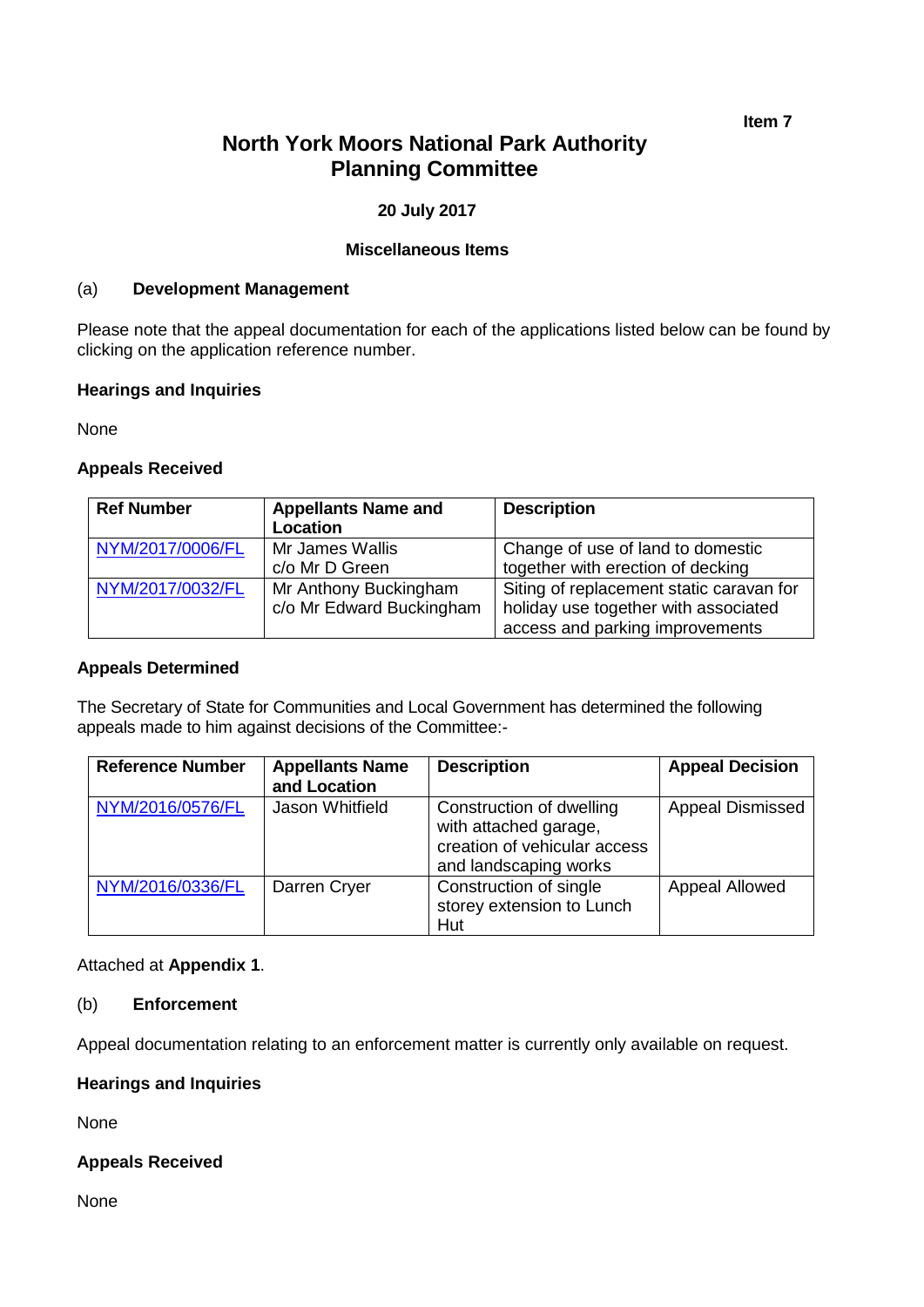**Item 7**

# **North York Moors National Park Authority Planning Committee**

# **20 July 2017**

### **Miscellaneous Items**

#### (a) **Development Management**

Please note that the appeal documentation for each of the applications listed below can be found by clicking on the application reference number.

### **Hearings and Inquiries**

None

## **Appeals Received**

| <b>Ref Number</b> | <b>Appellants Name and</b><br>Location | <b>Description</b>                       |
|-------------------|----------------------------------------|------------------------------------------|
| NYM/2017/0006/FL  | Mr James Wallis                        | Change of use of land to domestic        |
|                   | c/o Mr D Green                         | together with erection of decking        |
| NYM/2017/0032/FL  | Mr Anthony Buckingham                  | Siting of replacement static caravan for |
|                   | c/o Mr Edward Buckingham               | holiday use together with associated     |
|                   |                                        | access and parking improvements          |

### **Appeals Determined**

The Secretary of State for Communities and Local Government has determined the following appeals made to him against decisions of the Committee:-

| <b>Reference Number</b> | <b>Appellants Name</b><br>and Location | <b>Description</b>                                                                                         | <b>Appeal Decision</b>  |
|-------------------------|----------------------------------------|------------------------------------------------------------------------------------------------------------|-------------------------|
| NYM/2016/0576/FL        | Jason Whitfield                        | Construction of dwelling<br>with attached garage,<br>creation of vehicular access<br>and landscaping works | <b>Appeal Dismissed</b> |
| NYM/2016/0336/FL        | Darren Cryer                           | Construction of single<br>storey extension to Lunch<br>Hut                                                 | Appeal Allowed          |

Attached at **Appendix 1**.

## (b) **Enforcement**

Appeal documentation relating to an enforcement matter is currently only available on request.

### **Hearings and Inquiries**

None

### **Appeals Received**

None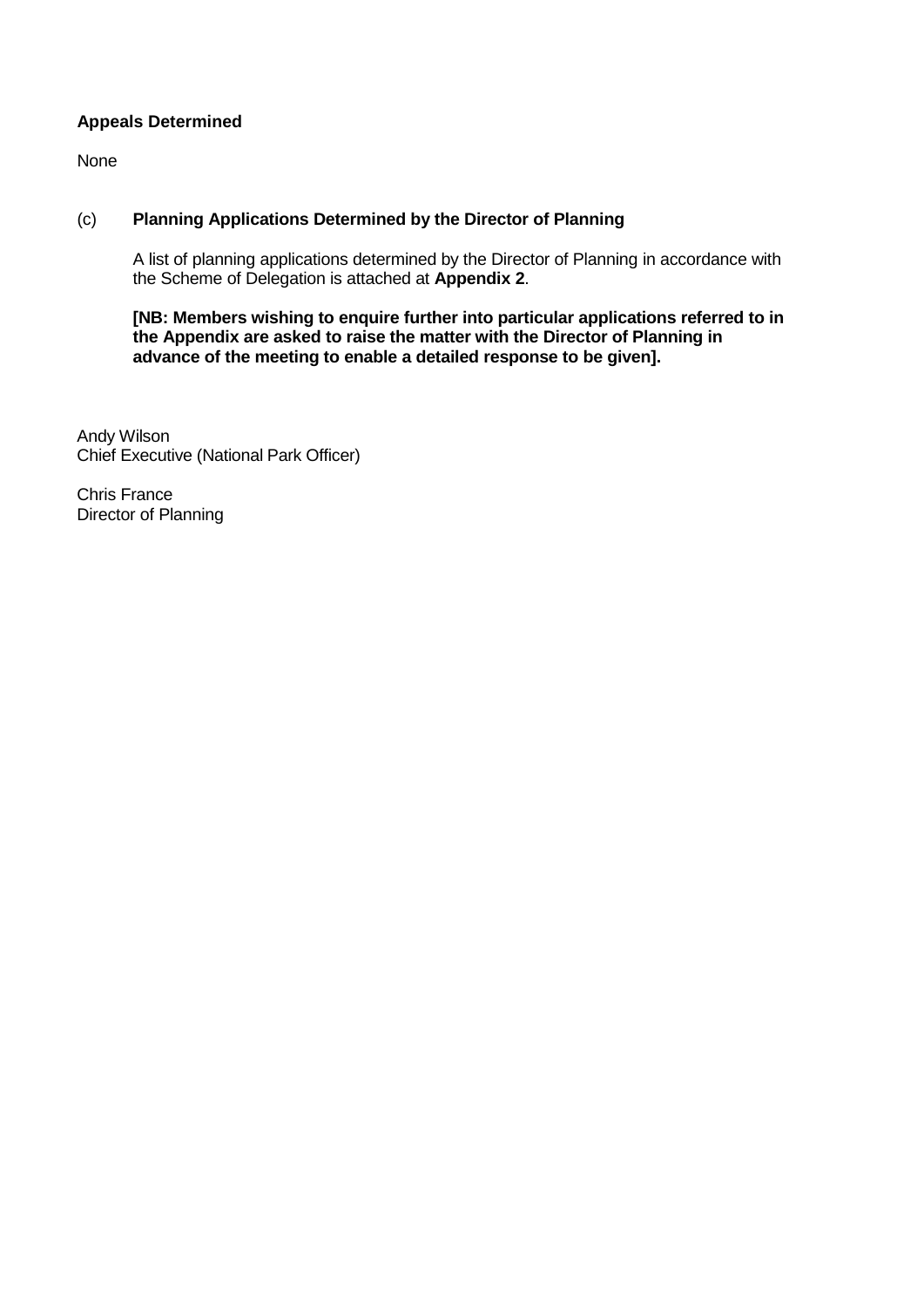# **Appeals Determined**

None

# (c) **Planning Applications Determined by the Director of Planning**

A list of planning applications determined by the Director of Planning in accordance with the Scheme of Delegation is attached at **Appendix 2**.

**[NB: Members wishing to enquire further into particular applications referred to in the Appendix are asked to raise the matter with the Director of Planning in advance of the meeting to enable a detailed response to be given].**

Andy Wilson Chief Executive (National Park Officer)

Chris France Director of Planning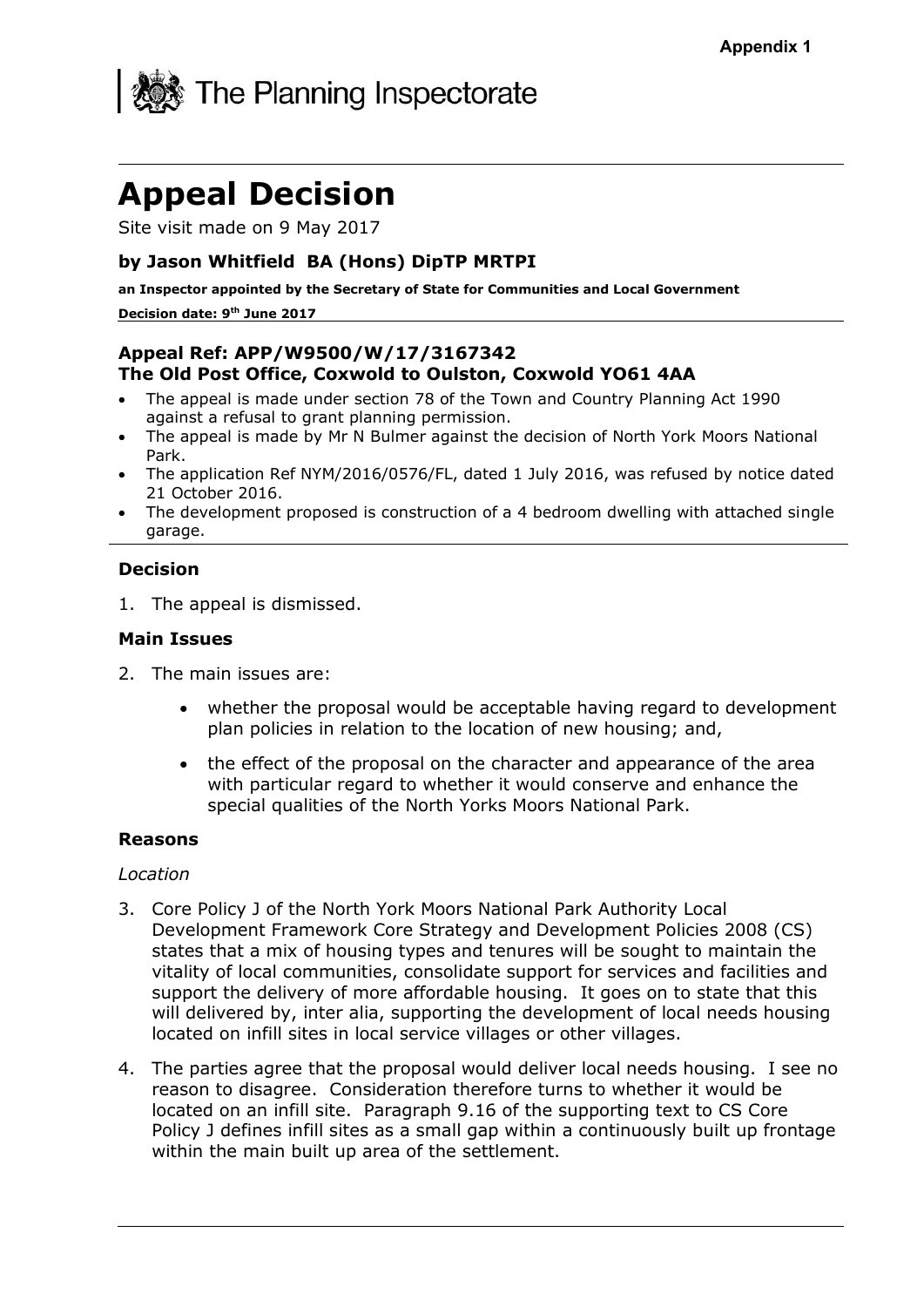

# **Appeal Decision**

Site visit made on 9 May 2017

# **by Jason Whitfield BA (Hons) DipTP MRTPI**

**an Inspector appointed by the Secretary of State for Communities and Local Government**

#### **Decision date: 9 th June 2017**

# **Appeal Ref: APP/W9500/W/17/3167342 The Old Post Office, Coxwold to Oulston, Coxwold YO61 4AA**

- The appeal is made under section 78 of the Town and Country Planning Act 1990 against a refusal to grant planning permission.
- The appeal is made by Mr N Bulmer against the decision of North York Moors National Park.
- The application Ref NYM/2016/0576/FL, dated 1 July 2016, was refused by notice dated 21 October 2016.
- The development proposed is construction of a 4 bedroom dwelling with attached single garage.

# **Decision**

1. The appeal is dismissed.

# **Main Issues**

- 2. The main issues are:
	- whether the proposal would be acceptable having regard to development plan policies in relation to the location of new housing; and,
	- the effect of the proposal on the character and appearance of the area with particular regard to whether it would conserve and enhance the special qualities of the North Yorks Moors National Park.

# **Reasons**

### *Location*

- 3. Core Policy J of the North York Moors National Park Authority Local Development Framework Core Strategy and Development Policies 2008 (CS) states that a mix of housing types and tenures will be sought to maintain the vitality of local communities, consolidate support for services and facilities and support the delivery of more affordable housing. It goes on to state that this will delivered by, inter alia, supporting the development of local needs housing located on infill sites in local service villages or other villages.
- 4. The parties agree that the proposal would deliver local needs housing. I see no reason to disagree. Consideration therefore turns to whether it would be located on an infill site. Paragraph 9.16 of the supporting text to CS Core Policy J defines infill sites as a small gap within a continuously built up frontage within the main built up area of the settlement.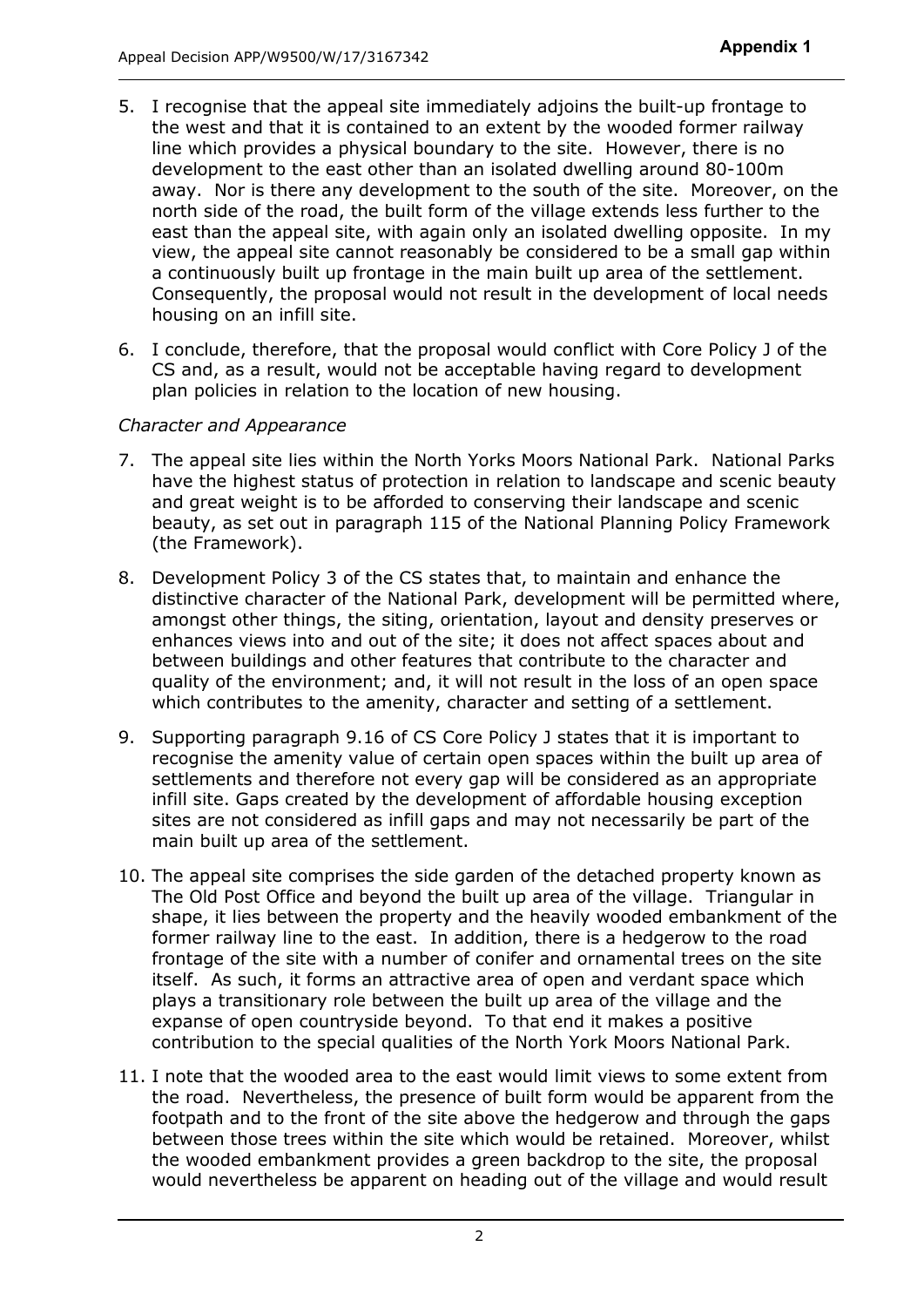- 5. I recognise that the appeal site immediately adjoins the built-up frontage to the west and that it is contained to an extent by the wooded former railway line which provides a physical boundary to the site. However, there is no development to the east other than an isolated dwelling around 80-100m away. Nor is there any development to the south of the site. Moreover, on the north side of the road, the built form of the village extends less further to the east than the appeal site, with again only an isolated dwelling opposite. In my view, the appeal site cannot reasonably be considered to be a small gap within a continuously built up frontage in the main built up area of the settlement. Consequently, the proposal would not result in the development of local needs housing on an infill site.
- 6. I conclude, therefore, that the proposal would conflict with Core Policy J of the CS and, as a result, would not be acceptable having regard to development plan policies in relation to the location of new housing.

# *Character and Appearance*

- 7. The appeal site lies within the North Yorks Moors National Park. National Parks have the highest status of protection in relation to landscape and scenic beauty and great weight is to be afforded to conserving their landscape and scenic beauty, as set out in paragraph 115 of the National Planning Policy Framework (the Framework).
- 8. Development Policy 3 of the CS states that, to maintain and enhance the distinctive character of the National Park, development will be permitted where, amongst other things, the siting, orientation, layout and density preserves or enhances views into and out of the site; it does not affect spaces about and between buildings and other features that contribute to the character and quality of the environment; and, it will not result in the loss of an open space which contributes to the amenity, character and setting of a settlement.
- 9. Supporting paragraph 9.16 of CS Core Policy J states that it is important to recognise the amenity value of certain open spaces within the built up area of settlements and therefore not every gap will be considered as an appropriate infill site. Gaps created by the development of affordable housing exception sites are not considered as infill gaps and may not necessarily be part of the main built up area of the settlement.
- 10. The appeal site comprises the side garden of the detached property known as The Old Post Office and beyond the built up area of the village. Triangular in shape, it lies between the property and the heavily wooded embankment of the former railway line to the east. In addition, there is a hedgerow to the road frontage of the site with a number of conifer and ornamental trees on the site itself. As such, it forms an attractive area of open and verdant space which plays a transitionary role between the built up area of the village and the expanse of open countryside beyond. To that end it makes a positive contribution to the special qualities of the North York Moors National Park.
- 11. I note that the wooded area to the east would limit views to some extent from the road. Nevertheless, the presence of built form would be apparent from the footpath and to the front of the site above the hedgerow and through the gaps between those trees within the site which would be retained. Moreover, whilst the wooded embankment provides a green backdrop to the site, the proposal would nevertheless be apparent on heading out of the village and would result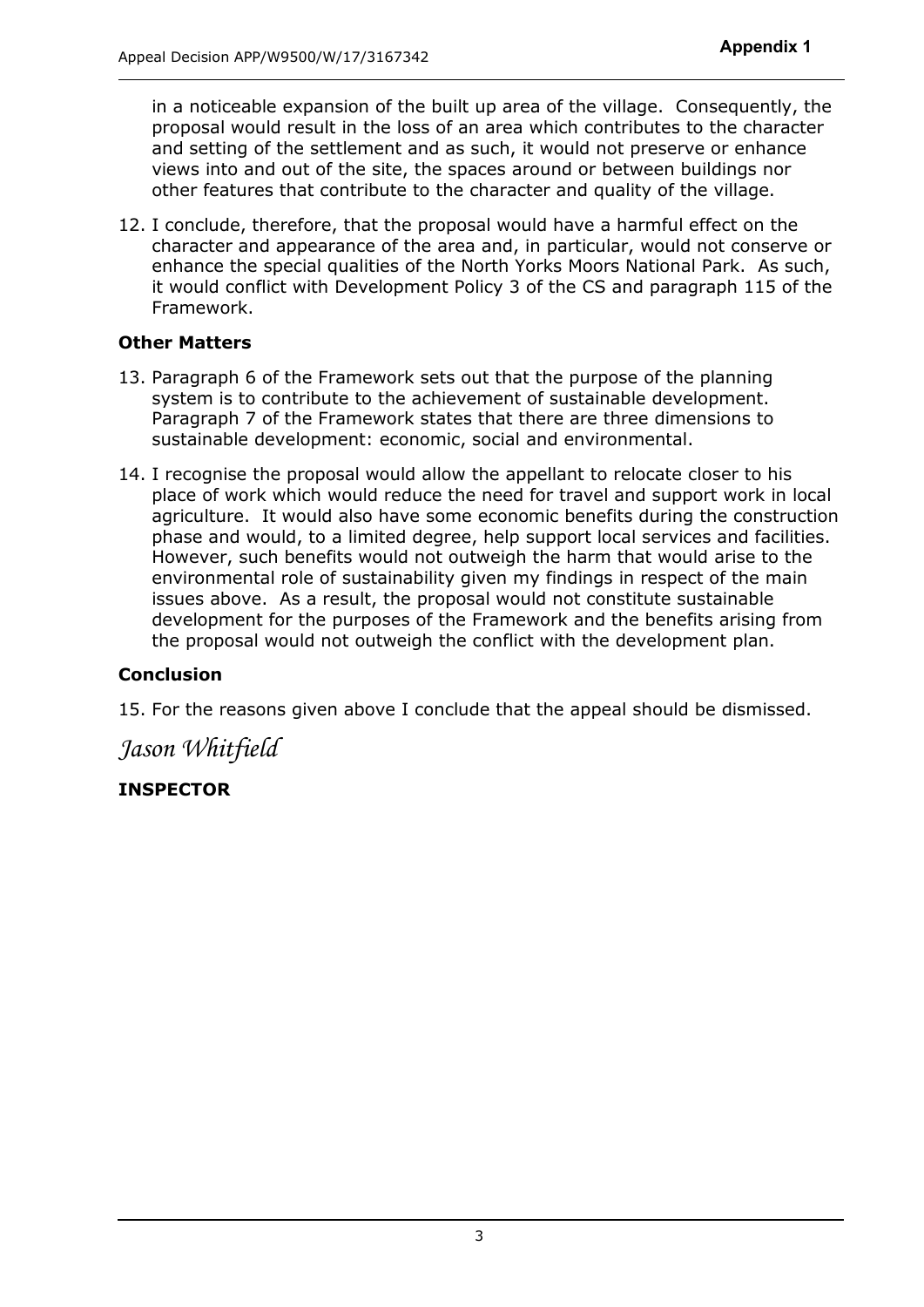in a noticeable expansion of the built up area of the village. Consequently, the proposal would result in the loss of an area which contributes to the character and setting of the settlement and as such, it would not preserve or enhance views into and out of the site, the spaces around or between buildings nor other features that contribute to the character and quality of the village.

12. I conclude, therefore, that the proposal would have a harmful effect on the character and appearance of the area and, in particular, would not conserve or enhance the special qualities of the North Yorks Moors National Park. As such, it would conflict with Development Policy 3 of the CS and paragraph 115 of the Framework.

# **Other Matters**

- 13. Paragraph 6 of the Framework sets out that the purpose of the planning system is to contribute to the achievement of sustainable development. Paragraph 7 of the Framework states that there are three dimensions to sustainable development: economic, social and environmental.
- 14. I recognise the proposal would allow the appellant to relocate closer to his place of work which would reduce the need for travel and support work in local agriculture. It would also have some economic benefits during the construction phase and would, to a limited degree, help support local services and facilities. However, such benefits would not outweigh the harm that would arise to the environmental role of sustainability given my findings in respect of the main issues above. As a result, the proposal would not constitute sustainable development for the purposes of the Framework and the benefits arising from the proposal would not outweigh the conflict with the development plan.

# **Conclusion**

15. For the reasons given above I conclude that the appeal should be dismissed.

# *Jason Whitfield*

# **INSPECTOR**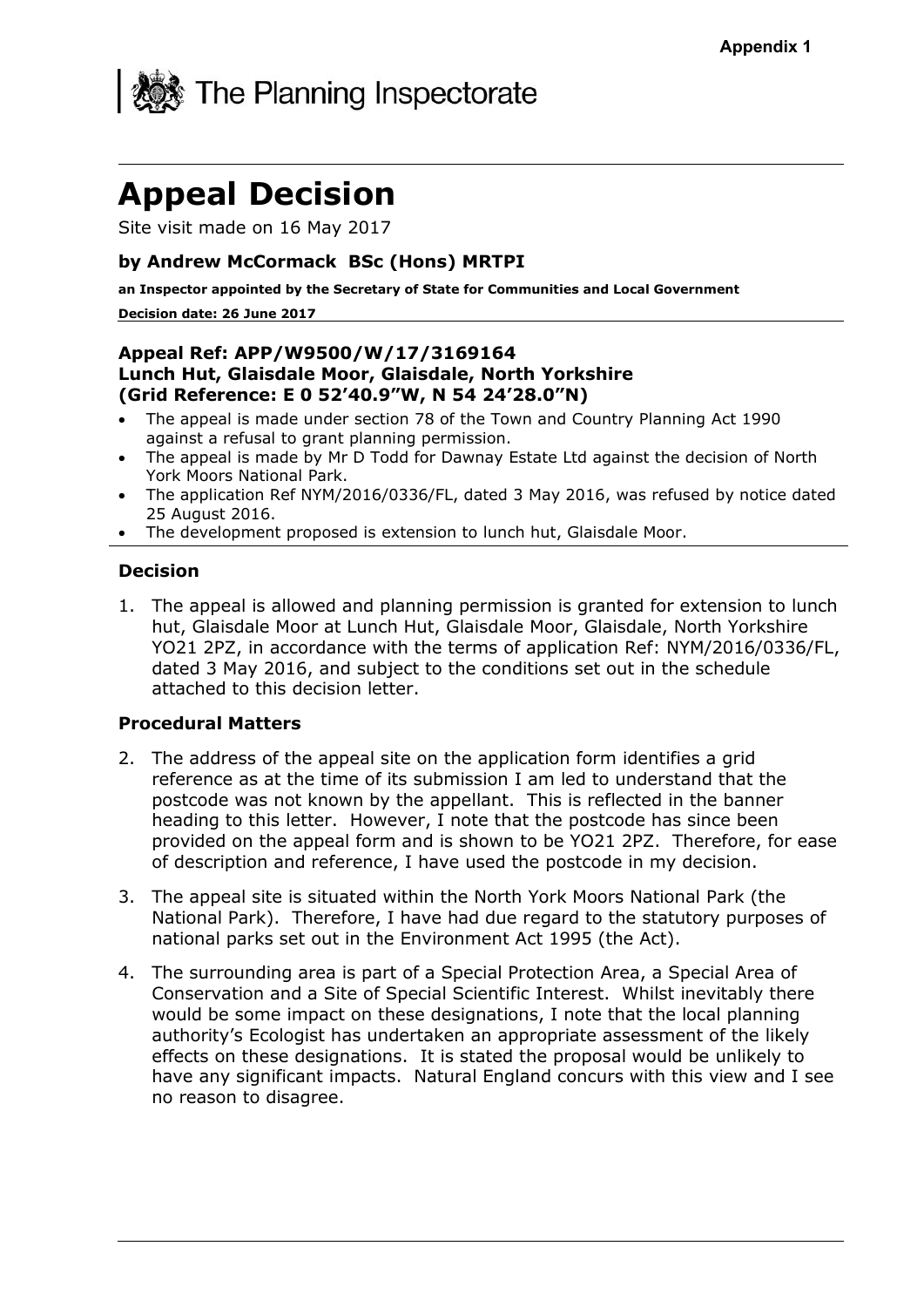

# **Appeal Decision**

Site visit made on 16 May 2017

# **by Andrew McCormack BSc (Hons) MRTPI**

**an Inspector appointed by the Secretary of State for Communities and Local Government Decision date: 26 June 2017**

# **Appeal Ref: APP/W9500/W/17/3169164 Lunch Hut, Glaisdale Moor, Glaisdale, North Yorkshire (Grid Reference: E 0 52'40.9"W, N 54 24'28.0"N)**

- The appeal is made under section 78 of the Town and Country Planning Act 1990 against a refusal to grant planning permission.
- The appeal is made by Mr D Todd for Dawnay Estate Ltd against the decision of North York Moors National Park.
- The application Ref NYM/2016/0336/FL, dated 3 May 2016, was refused by notice dated 25 August 2016.
- The development proposed is extension to lunch hut, Glaisdale Moor.

# **Decision**

1. The appeal is allowed and planning permission is granted for extension to lunch hut, Glaisdale Moor at Lunch Hut, Glaisdale Moor, Glaisdale, North Yorkshire YO21 2PZ, in accordance with the terms of application Ref: NYM/2016/0336/FL, dated 3 May 2016, and subject to the conditions set out in the schedule attached to this decision letter.

# **Procedural Matters**

- 2. The address of the appeal site on the application form identifies a grid reference as at the time of its submission I am led to understand that the postcode was not known by the appellant. This is reflected in the banner heading to this letter. However, I note that the postcode has since been provided on the appeal form and is shown to be YO21 2PZ. Therefore, for ease of description and reference, I have used the postcode in my decision.
- 3. The appeal site is situated within the North York Moors National Park (the National Park). Therefore, I have had due regard to the statutory purposes of national parks set out in the Environment Act 1995 (the Act).
- 4. The surrounding area is part of a Special Protection Area, a Special Area of Conservation and a Site of Special Scientific Interest. Whilst inevitably there would be some impact on these designations, I note that the local planning authority's Ecologist has undertaken an appropriate assessment of the likely effects on these designations. It is stated the proposal would be unlikely to have any significant impacts. Natural England concurs with this view and I see no reason to disagree.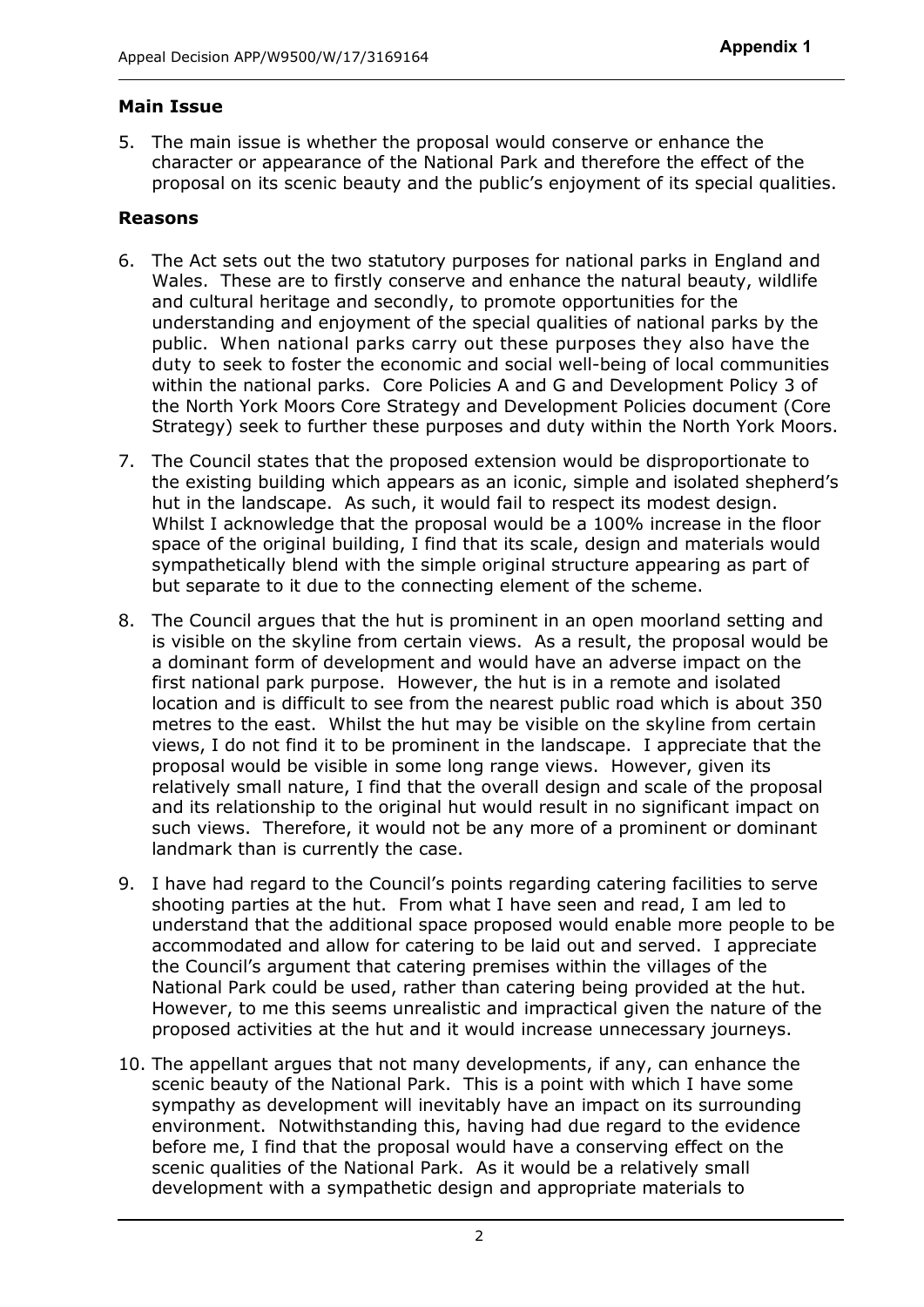# **Main Issue**

5. The main issue is whether the proposal would conserve or enhance the character or appearance of the National Park and therefore the effect of the proposal on its scenic beauty and the public's enjoyment of its special qualities.

# **Reasons**

- 6. The Act sets out the two statutory purposes for national parks in England and Wales. These are to firstly conserve and enhance the natural beauty, wildlife and cultural heritage and secondly, to promote opportunities for the understanding and enjoyment of the special qualities of national parks by the public. When national parks carry out these purposes they also have the duty to seek to foster the economic and social well-being of local communities within the national parks. Core Policies A and G and Development Policy 3 of the North York Moors Core Strategy and Development Policies document (Core Strategy) seek to further these purposes and duty within the North York Moors.
- 7. The Council states that the proposed extension would be disproportionate to the existing building which appears as an iconic, simple and isolated shepherd's hut in the landscape. As such, it would fail to respect its modest design. Whilst I acknowledge that the proposal would be a 100% increase in the floor space of the original building, I find that its scale, design and materials would sympathetically blend with the simple original structure appearing as part of but separate to it due to the connecting element of the scheme.
- 8. The Council argues that the hut is prominent in an open moorland setting and is visible on the skyline from certain views. As a result, the proposal would be a dominant form of development and would have an adverse impact on the first national park purpose. However, the hut is in a remote and isolated location and is difficult to see from the nearest public road which is about 350 metres to the east. Whilst the hut may be visible on the skyline from certain views, I do not find it to be prominent in the landscape. I appreciate that the proposal would be visible in some long range views. However, given its relatively small nature, I find that the overall design and scale of the proposal and its relationship to the original hut would result in no significant impact on such views. Therefore, it would not be any more of a prominent or dominant landmark than is currently the case.
- 9. I have had regard to the Council's points regarding catering facilities to serve shooting parties at the hut. From what I have seen and read, I am led to understand that the additional space proposed would enable more people to be accommodated and allow for catering to be laid out and served. I appreciate the Council's argument that catering premises within the villages of the National Park could be used, rather than catering being provided at the hut. However, to me this seems unrealistic and impractical given the nature of the proposed activities at the hut and it would increase unnecessary journeys.
- 10. The appellant argues that not many developments, if any, can enhance the scenic beauty of the National Park. This is a point with which I have some sympathy as development will inevitably have an impact on its surrounding environment. Notwithstanding this, having had due regard to the evidence before me, I find that the proposal would have a conserving effect on the scenic qualities of the National Park. As it would be a relatively small development with a sympathetic design and appropriate materials to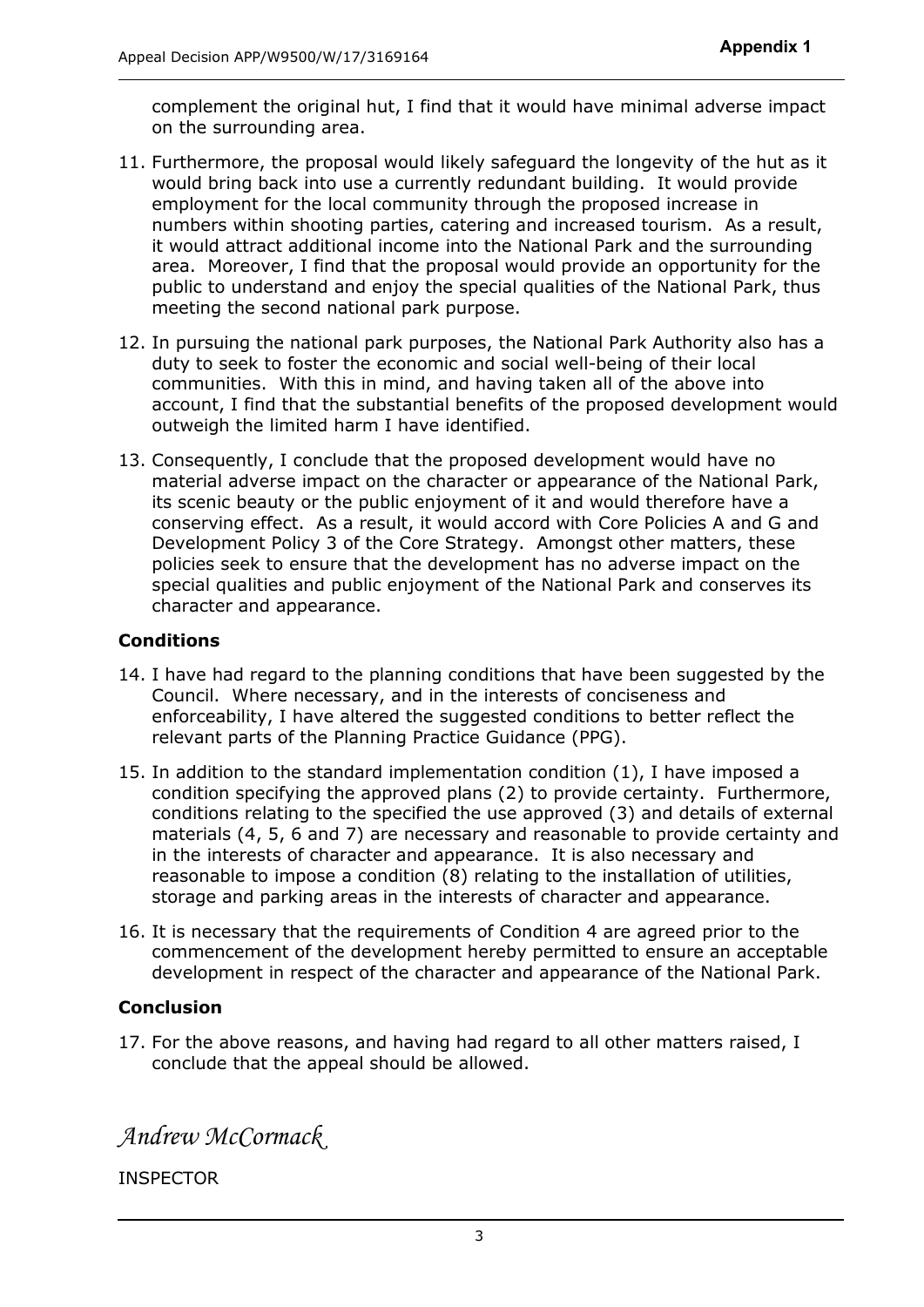complement the original hut, I find that it would have minimal adverse impact on the surrounding area.

- 11. Furthermore, the proposal would likely safeguard the longevity of the hut as it would bring back into use a currently redundant building. It would provide employment for the local community through the proposed increase in numbers within shooting parties, catering and increased tourism. As a result, it would attract additional income into the National Park and the surrounding area. Moreover, I find that the proposal would provide an opportunity for the public to understand and enjoy the special qualities of the National Park, thus meeting the second national park purpose.
- 12. In pursuing the national park purposes, the National Park Authority also has a duty to seek to foster the economic and social well-being of their local communities. With this in mind, and having taken all of the above into account, I find that the substantial benefits of the proposed development would outweigh the limited harm I have identified.
- 13. Consequently, I conclude that the proposed development would have no material adverse impact on the character or appearance of the National Park, its scenic beauty or the public enjoyment of it and would therefore have a conserving effect. As a result, it would accord with Core Policies A and G and Development Policy 3 of the Core Strategy. Amongst other matters, these policies seek to ensure that the development has no adverse impact on the special qualities and public enjoyment of the National Park and conserves its character and appearance.

# **Conditions**

- 14. I have had regard to the planning conditions that have been suggested by the Council. Where necessary, and in the interests of conciseness and enforceability, I have altered the suggested conditions to better reflect the relevant parts of the Planning Practice Guidance (PPG).
- 15. In addition to the standard implementation condition (1), I have imposed a condition specifying the approved plans (2) to provide certainty. Furthermore, conditions relating to the specified the use approved (3) and details of external materials (4, 5, 6 and 7) are necessary and reasonable to provide certainty and in the interests of character and appearance. It is also necessary and reasonable to impose a condition (8) relating to the installation of utilities, storage and parking areas in the interests of character and appearance.
- 16. It is necessary that the requirements of Condition 4 are agreed prior to the commencement of the development hereby permitted to ensure an acceptable development in respect of the character and appearance of the National Park.

# **Conclusion**

17. For the above reasons, and having had regard to all other matters raised, I conclude that the appeal should be allowed.

*Andrew McCormack*

INSPECTOR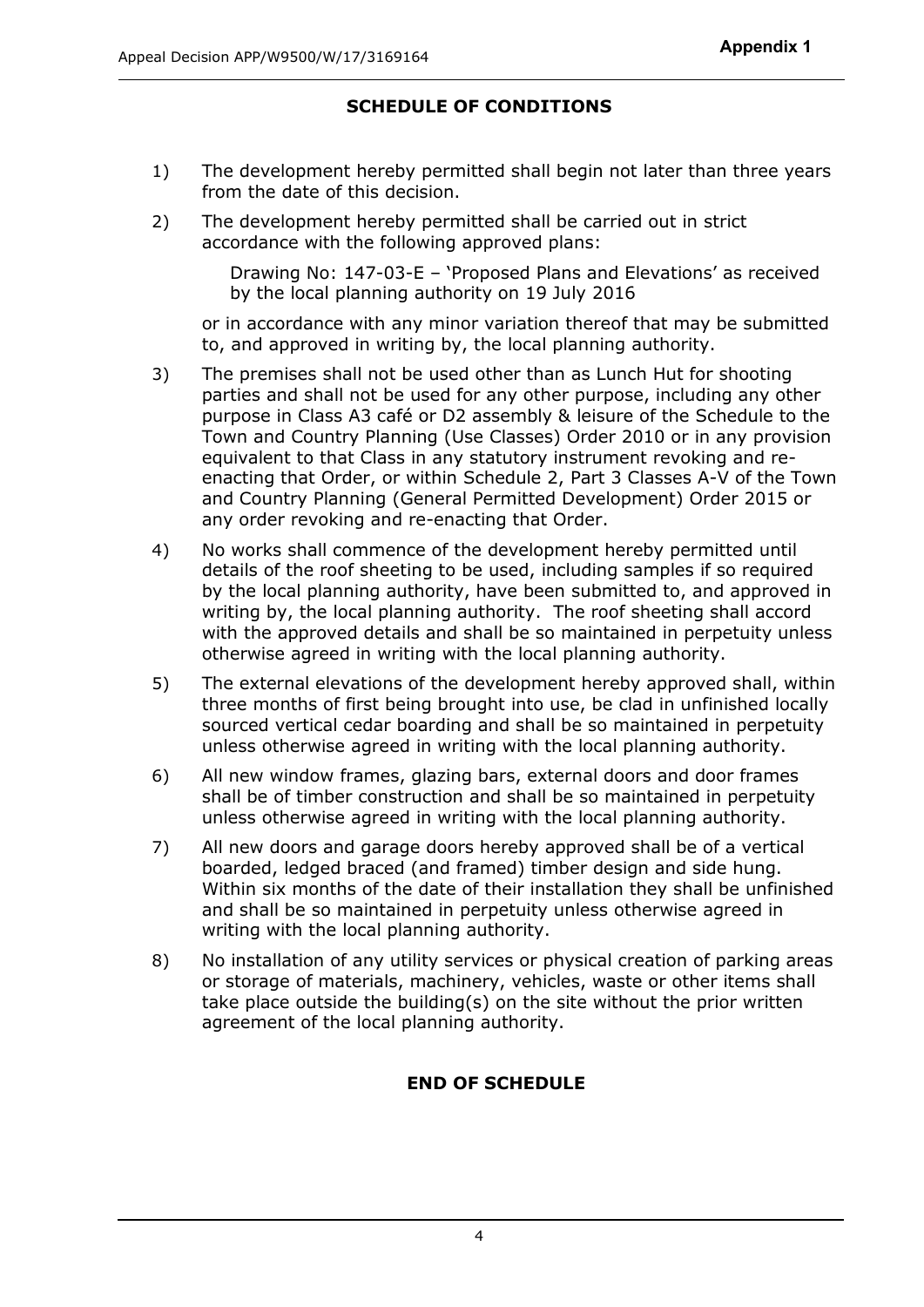# **SCHEDULE OF CONDITIONS**

- 1) The development hereby permitted shall begin not later than three years from the date of this decision.
- 2) The development hereby permitted shall be carried out in strict accordance with the following approved plans:

Drawing No: 147-03-E – 'Proposed Plans and Elevations' as received by the local planning authority on 19 July 2016

or in accordance with any minor variation thereof that may be submitted to, and approved in writing by, the local planning authority.

- 3) The premises shall not be used other than as Lunch Hut for shooting parties and shall not be used for any other purpose, including any other purpose in Class A3 café or D2 assembly & leisure of the Schedule to the Town and Country Planning (Use Classes) Order 2010 or in any provision equivalent to that Class in any statutory instrument revoking and reenacting that Order, or within Schedule 2, Part 3 Classes A-V of the Town and Country Planning (General Permitted Development) Order 2015 or any order revoking and re-enacting that Order.
- 4) No works shall commence of the development hereby permitted until details of the roof sheeting to be used, including samples if so required by the local planning authority, have been submitted to, and approved in writing by, the local planning authority. The roof sheeting shall accord with the approved details and shall be so maintained in perpetuity unless otherwise agreed in writing with the local planning authority.
- 5) The external elevations of the development hereby approved shall, within three months of first being brought into use, be clad in unfinished locally sourced vertical cedar boarding and shall be so maintained in perpetuity unless otherwise agreed in writing with the local planning authority.
- 6) All new window frames, glazing bars, external doors and door frames shall be of timber construction and shall be so maintained in perpetuity unless otherwise agreed in writing with the local planning authority.
- 7) All new doors and garage doors hereby approved shall be of a vertical boarded, ledged braced (and framed) timber design and side hung. Within six months of the date of their installation they shall be unfinished and shall be so maintained in perpetuity unless otherwise agreed in writing with the local planning authority.
- 8) No installation of any utility services or physical creation of parking areas or storage of materials, machinery, vehicles, waste or other items shall take place outside the building(s) on the site without the prior written agreement of the local planning authority.

# **END OF SCHEDULE**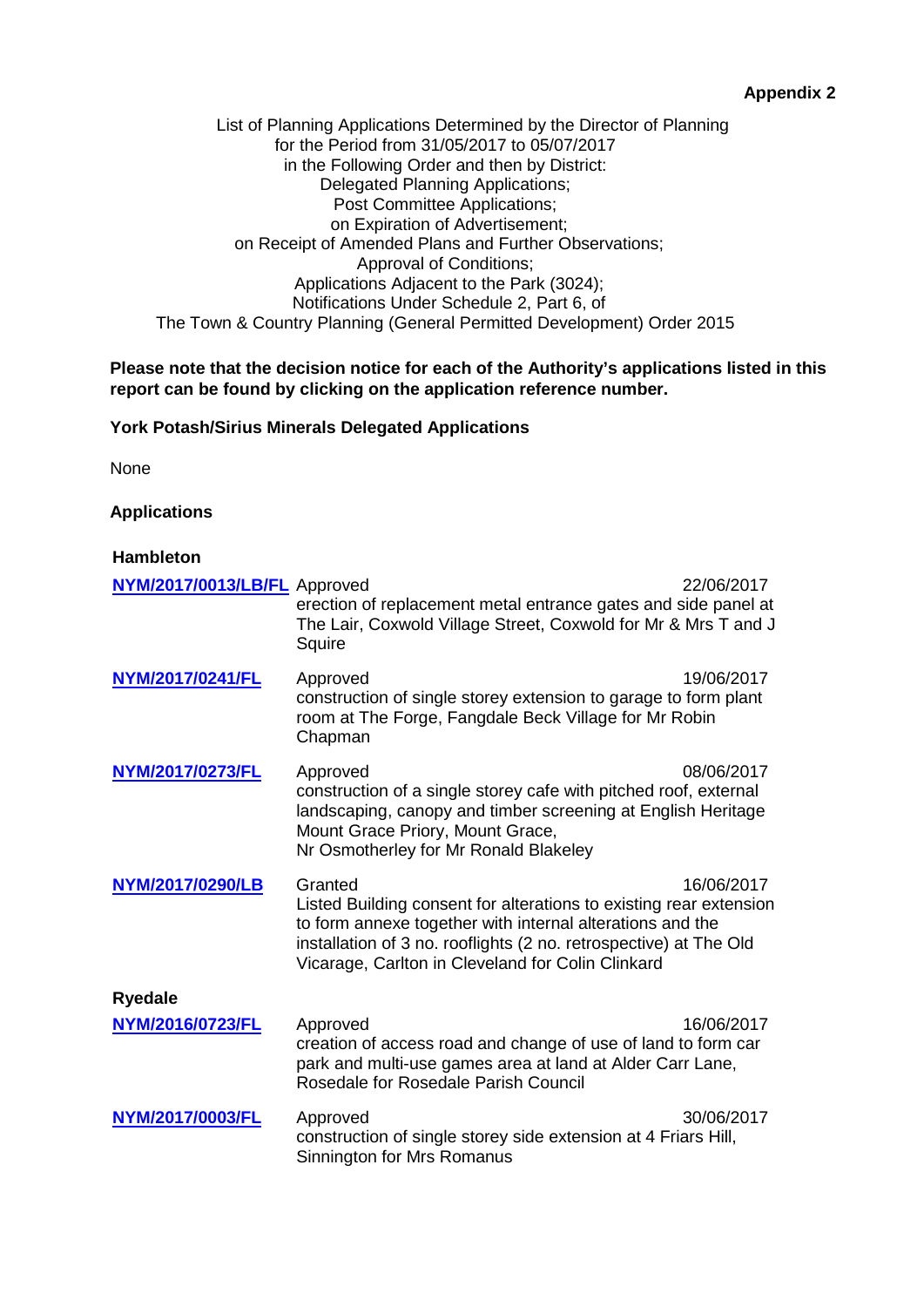List of Planning Applications Determined by the Director of Planning for the Period from 31/05/2017 to 05/07/2017 in the Following Order and then by District: Delegated Planning Applications; Post Committee Applications; on Expiration of Advertisement; on Receipt of Amended Plans and Further Observations; Approval of Conditions; Applications Adjacent to the Park (3024); Notifications Under Schedule 2, Part 6, of The Town & Country Planning (General Permitted Development) Order 2015

#### **Please note that the decision notice for each of the Authority's applications listed in this report can be found by clicking on the application reference number.**

#### **York Potash/Sirius Minerals Delegated Applications**

None

#### **Applications**

#### **Hambleton**

| NYM/2017/0013/LB/FL Approved | erection of replacement metal entrance gates and side panel at<br>The Lair, Coxwold Village Street, Coxwold for Mr & Mrs T and J<br>Squire                                                                                                                           | 22/06/2017 |
|------------------------------|----------------------------------------------------------------------------------------------------------------------------------------------------------------------------------------------------------------------------------------------------------------------|------------|
| NYM/2017/0241/FL             | Approved<br>construction of single storey extension to garage to form plant<br>room at The Forge, Fangdale Beck Village for Mr Robin<br>Chapman                                                                                                                      | 19/06/2017 |
| NYM/2017/0273/FL             | Approved<br>construction of a single storey cafe with pitched roof, external<br>landscaping, canopy and timber screening at English Heritage<br>Mount Grace Priory, Mount Grace,<br>Nr Osmotherley for Mr Ronald Blakeley                                            | 08/06/2017 |
| NYM/2017/0290/LB             | Granted<br>Listed Building consent for alterations to existing rear extension<br>to form annexe together with internal alterations and the<br>installation of 3 no. rooflights (2 no. retrospective) at The Old<br>Vicarage, Carlton in Cleveland for Colin Clinkard | 16/06/2017 |
| <b>Ryedale</b>               |                                                                                                                                                                                                                                                                      |            |
| NYM/2016/0723/FL             | Approved<br>creation of access road and change of use of land to form car<br>park and multi-use games area at land at Alder Carr Lane,<br>Rosedale for Rosedale Parish Council                                                                                       | 16/06/2017 |
| NYM/2017/0003/FL             | Approved<br>construction of single storey side extension at 4 Friars Hill,<br>Sinnington for Mrs Romanus                                                                                                                                                             | 30/06/2017 |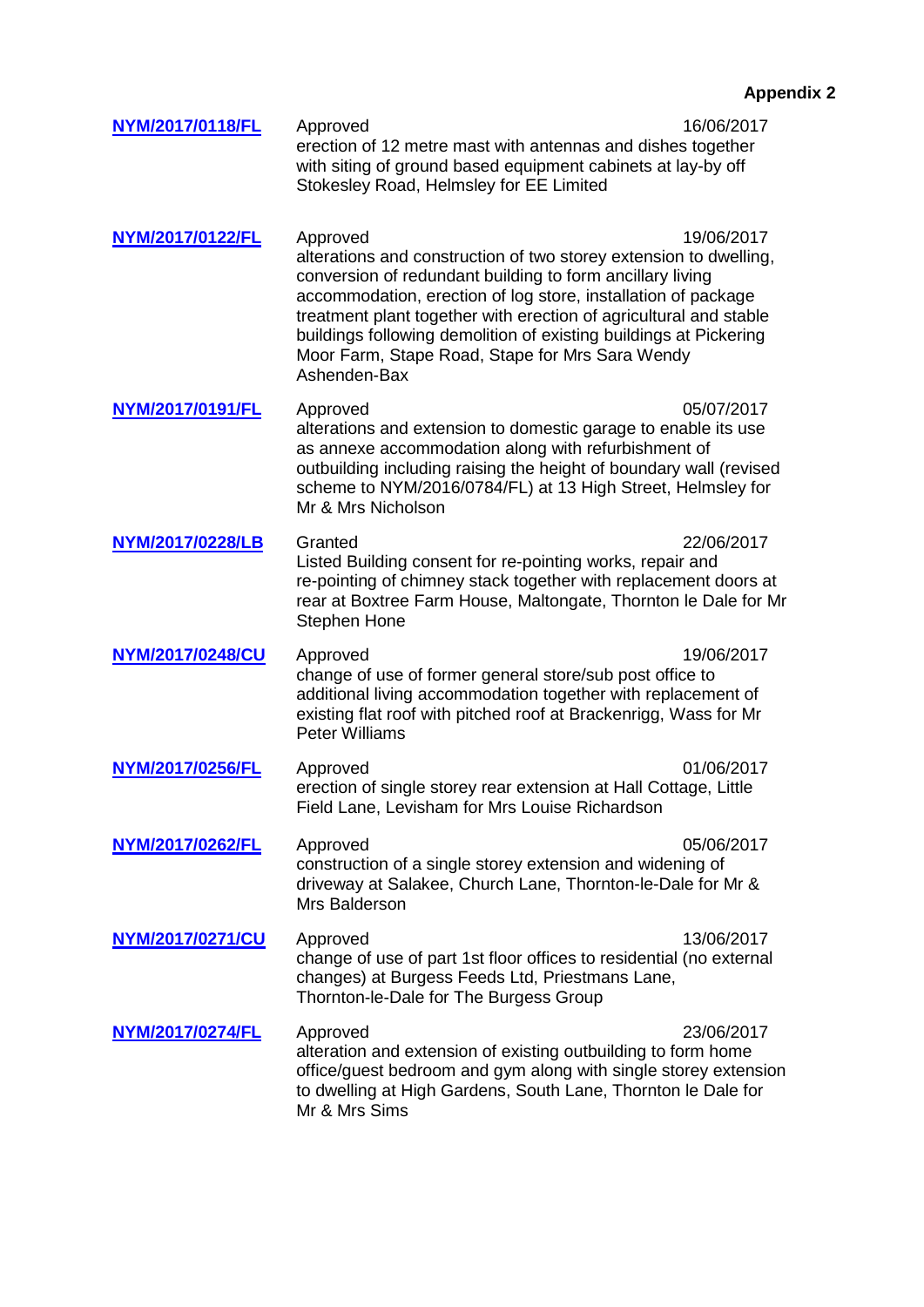| NYM/2017/0118/FL        | Approved<br>erection of 12 metre mast with antennas and dishes together<br>with siting of ground based equipment cabinets at lay-by off<br>Stokesley Road, Helmsley for EE Limited                                                                                                                                                                                                                                       | 16/06/2017 |
|-------------------------|--------------------------------------------------------------------------------------------------------------------------------------------------------------------------------------------------------------------------------------------------------------------------------------------------------------------------------------------------------------------------------------------------------------------------|------------|
| NYM/2017/0122/FL        | Approved<br>alterations and construction of two storey extension to dwelling,<br>conversion of redundant building to form ancillary living<br>accommodation, erection of log store, installation of package<br>treatment plant together with erection of agricultural and stable<br>buildings following demolition of existing buildings at Pickering<br>Moor Farm, Stape Road, Stape for Mrs Sara Wendy<br>Ashenden-Bax | 19/06/2017 |
| <b>NYM/2017/0191/FL</b> | Approved<br>alterations and extension to domestic garage to enable its use<br>as annexe accommodation along with refurbishment of<br>outbuilding including raising the height of boundary wall (revised<br>scheme to NYM/2016/0784/FL) at 13 High Street, Helmsley for<br>Mr & Mrs Nicholson                                                                                                                             | 05/07/2017 |
| NYM/2017/0228/LB        | Granted<br>Listed Building consent for re-pointing works, repair and<br>re-pointing of chimney stack together with replacement doors at<br>rear at Boxtree Farm House, Maltongate, Thornton le Dale for Mr<br><b>Stephen Hone</b>                                                                                                                                                                                        | 22/06/2017 |
| NYM/2017/0248/CU        | Approved<br>change of use of former general store/sub post office to<br>additional living accommodation together with replacement of<br>existing flat roof with pitched roof at Brackenrigg, Wass for Mr<br><b>Peter Williams</b>                                                                                                                                                                                        | 19/06/2017 |
| NYM/2017/0256/FL        | Approved<br>erection of single storey rear extension at Hall Cottage, Little<br>Field Lane, Levisham for Mrs Louise Richardson                                                                                                                                                                                                                                                                                           | 01/06/2017 |
| NYM/2017/0262/FL        | Approved<br>construction of a single storey extension and widening of<br>driveway at Salakee, Church Lane, Thornton-le-Dale for Mr &<br>Mrs Balderson                                                                                                                                                                                                                                                                    | 05/06/2017 |
| <b>NYM/2017/0271/CU</b> | Approved<br>change of use of part 1st floor offices to residential (no external<br>changes) at Burgess Feeds Ltd, Priestmans Lane,<br>Thornton-le-Dale for The Burgess Group                                                                                                                                                                                                                                             | 13/06/2017 |
| NYM/2017/0274/FL        | Approved<br>alteration and extension of existing outbuilding to form home<br>office/guest bedroom and gym along with single storey extension<br>to dwelling at High Gardens, South Lane, Thornton le Dale for<br>Mr & Mrs Sims                                                                                                                                                                                           | 23/06/2017 |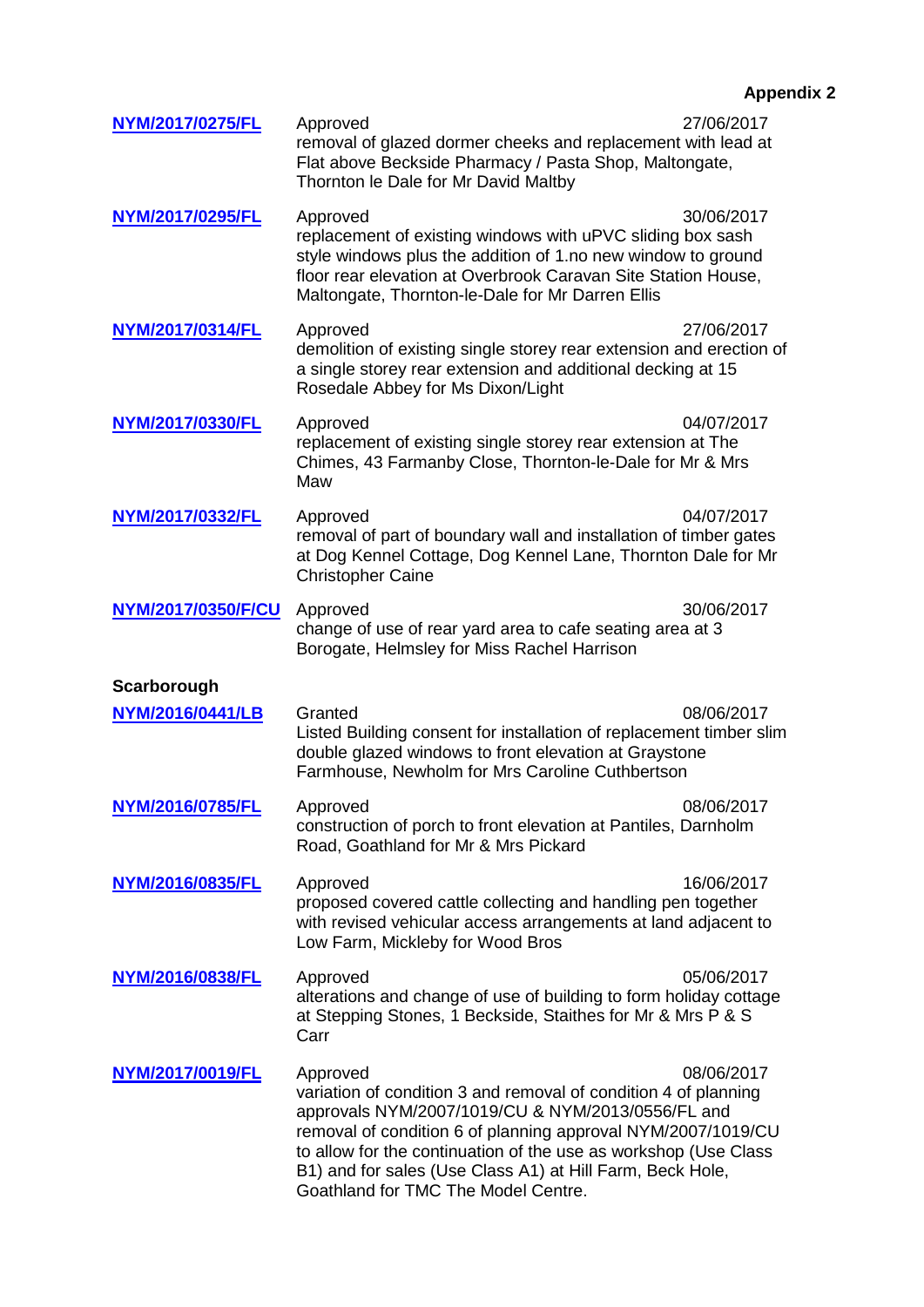| NYM/2017/0275/FL        | Approved<br>removal of glazed dormer cheeks and replacement with lead at<br>Flat above Beckside Pharmacy / Pasta Shop, Maltongate,<br>Thornton le Dale for Mr David Maltby                                                                                                                                                                                              | 27/06/2017 |
|-------------------------|-------------------------------------------------------------------------------------------------------------------------------------------------------------------------------------------------------------------------------------------------------------------------------------------------------------------------------------------------------------------------|------------|
| NYM/2017/0295/FL        | Approved<br>replacement of existing windows with uPVC sliding box sash<br>style windows plus the addition of 1.no new window to ground<br>floor rear elevation at Overbrook Caravan Site Station House,<br>Maltongate, Thornton-le-Dale for Mr Darren Ellis                                                                                                             | 30/06/2017 |
| NYM/2017/0314/FL        | Approved<br>demolition of existing single storey rear extension and erection of<br>a single storey rear extension and additional decking at 15<br>Rosedale Abbey for Ms Dixon/Light                                                                                                                                                                                     | 27/06/2017 |
| NYM/2017/0330/FL        | Approved<br>replacement of existing single storey rear extension at The<br>Chimes, 43 Farmanby Close, Thornton-le-Dale for Mr & Mrs<br>Maw                                                                                                                                                                                                                              | 04/07/2017 |
| NYM/2017/0332/FL        | Approved<br>removal of part of boundary wall and installation of timber gates<br>at Dog Kennel Cottage, Dog Kennel Lane, Thornton Dale for Mr<br><b>Christopher Caine</b>                                                                                                                                                                                               | 04/07/2017 |
| NYM/2017/0350/F/CU      | Approved<br>change of use of rear yard area to cafe seating area at 3<br>Borogate, Helmsley for Miss Rachel Harrison                                                                                                                                                                                                                                                    | 30/06/2017 |
| Scarborough             |                                                                                                                                                                                                                                                                                                                                                                         |            |
| <b>NYM/2016/0441/LB</b> | Granted<br>Listed Building consent for installation of replacement timber slim<br>double glazed windows to front elevation at Graystone<br>Farmhouse, Newholm for Mrs Caroline Cuthbertson                                                                                                                                                                              | 08/06/2017 |
| <u>NYM/2016/0785/FL</u> | Approved<br>construction of porch to front elevation at Pantiles, Darnholm<br>Road, Goathland for Mr & Mrs Pickard                                                                                                                                                                                                                                                      | 08/06/2017 |
| NYM/2016/0835/FL        | Approved<br>proposed covered cattle collecting and handling pen together<br>with revised vehicular access arrangements at land adjacent to<br>Low Farm, Mickleby for Wood Bros                                                                                                                                                                                          | 16/06/2017 |
| NYM/2016/0838/FL        | Approved<br>alterations and change of use of building to form holiday cottage<br>at Stepping Stones, 1 Beckside, Staithes for Mr & Mrs P & S<br>Carr                                                                                                                                                                                                                    | 05/06/2017 |
| <b>NYM/2017/0019/FL</b> | Approved<br>variation of condition 3 and removal of condition 4 of planning<br>approvals NYM/2007/1019/CU & NYM/2013/0556/FL and<br>removal of condition 6 of planning approval NYM/2007/1019/CU<br>to allow for the continuation of the use as workshop (Use Class<br>B1) and for sales (Use Class A1) at Hill Farm, Beck Hole,<br>Goathland for TMC The Model Centre. | 08/06/2017 |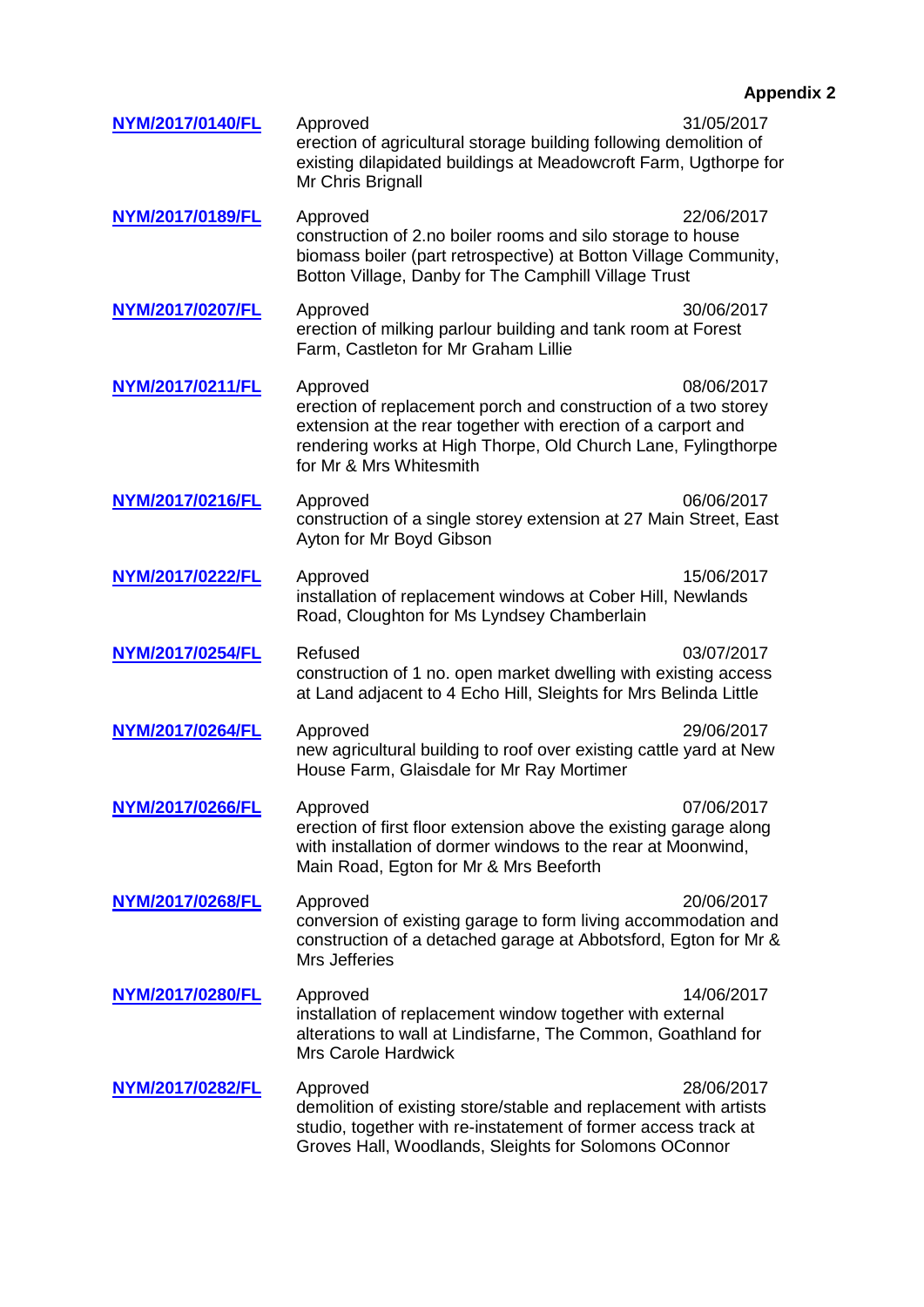| NYM/2017/0140/FL | Approved<br>erection of agricultural storage building following demolition of<br>existing dilapidated buildings at Meadowcroft Farm, Ugthorpe for<br>Mr Chris Brignall                                                                  | 31/05/2017 |
|------------------|-----------------------------------------------------------------------------------------------------------------------------------------------------------------------------------------------------------------------------------------|------------|
| NYM/2017/0189/FL | Approved<br>construction of 2.no boiler rooms and silo storage to house<br>biomass boiler (part retrospective) at Botton Village Community,<br>Botton Village, Danby for The Camphill Village Trust                                     | 22/06/2017 |
| NYM/2017/0207/FL | Approved<br>erection of milking parlour building and tank room at Forest<br>Farm, Castleton for Mr Graham Lillie                                                                                                                        | 30/06/2017 |
| NYM/2017/0211/FL | Approved<br>erection of replacement porch and construction of a two storey<br>extension at the rear together with erection of a carport and<br>rendering works at High Thorpe, Old Church Lane, Fylingthorpe<br>for Mr & Mrs Whitesmith | 08/06/2017 |
| NYM/2017/0216/FL | Approved<br>construction of a single storey extension at 27 Main Street, East<br>Ayton for Mr Boyd Gibson                                                                                                                               | 06/06/2017 |
| NYM/2017/0222/FL | Approved<br>installation of replacement windows at Cober Hill, Newlands<br>Road, Cloughton for Ms Lyndsey Chamberlain                                                                                                                   | 15/06/2017 |
| NYM/2017/0254/FL | Refused<br>construction of 1 no. open market dwelling with existing access<br>at Land adjacent to 4 Echo Hill, Sleights for Mrs Belinda Little                                                                                          | 03/07/2017 |
| NYM/2017/0264/FL | Approved<br>new agricultural building to roof over existing cattle yard at New<br>House Farm, Glaisdale for Mr Ray Mortimer                                                                                                             | 29/06/2017 |
| NYM/2017/0266/FL | Approved<br>erection of first floor extension above the existing garage along<br>with installation of dormer windows to the rear at Moonwind,<br>Main Road, Egton for Mr & Mrs Beeforth                                                 | 07/06/2017 |
| NYM/2017/0268/FL | Approved<br>conversion of existing garage to form living accommodation and<br>construction of a detached garage at Abbotsford, Egton for Mr &<br>Mrs Jefferies                                                                          | 20/06/2017 |
| NYM/2017/0280/FL | Approved<br>installation of replacement window together with external<br>alterations to wall at Lindisfarne, The Common, Goathland for<br><b>Mrs Carole Hardwick</b>                                                                    | 14/06/2017 |
| NYM/2017/0282/FL | Approved<br>demolition of existing store/stable and replacement with artists<br>studio, together with re-instatement of former access track at<br>Groves Hall, Woodlands, Sleights for Solomons OConnor                                 | 28/06/2017 |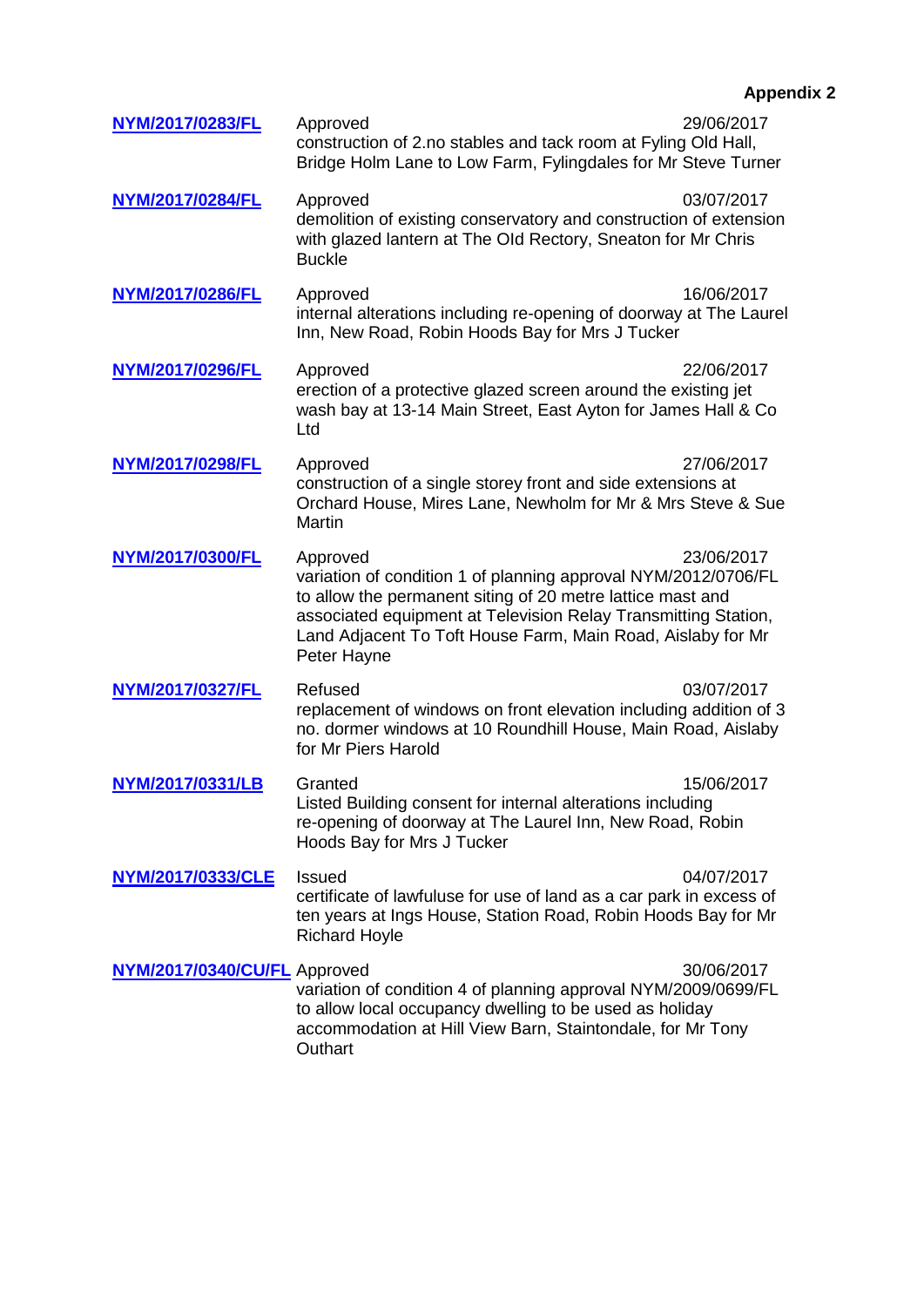| NYM/2017/0283/FL             | Approved<br>construction of 2.no stables and tack room at Fyling Old Hall,<br>Bridge Holm Lane to Low Farm, Fylingdales for Mr Steve Turner                                                                                                                                              | 29/06/2017 |
|------------------------------|------------------------------------------------------------------------------------------------------------------------------------------------------------------------------------------------------------------------------------------------------------------------------------------|------------|
| NYM/2017/0284/FL             | Approved<br>demolition of existing conservatory and construction of extension<br>with glazed lantern at The Old Rectory, Sneaton for Mr Chris<br><b>Buckle</b>                                                                                                                           | 03/07/2017 |
| NYM/2017/0286/FL             | Approved<br>internal alterations including re-opening of doorway at The Laurel<br>Inn, New Road, Robin Hoods Bay for Mrs J Tucker                                                                                                                                                        | 16/06/2017 |
| NYM/2017/0296/FL             | Approved<br>erection of a protective glazed screen around the existing jet<br>wash bay at 13-14 Main Street, East Ayton for James Hall & Co<br>Ltd                                                                                                                                       | 22/06/2017 |
| NYM/2017/0298/FL             | Approved<br>construction of a single storey front and side extensions at<br>Orchard House, Mires Lane, Newholm for Mr & Mrs Steve & Sue<br><b>Martin</b>                                                                                                                                 | 27/06/2017 |
| NYM/2017/0300/FL             | Approved<br>variation of condition 1 of planning approval NYM/2012/0706/FL<br>to allow the permanent siting of 20 metre lattice mast and<br>associated equipment at Television Relay Transmitting Station,<br>Land Adjacent To Toft House Farm, Main Road, Aislaby for Mr<br>Peter Hayne | 23/06/2017 |
| NYM/2017/0327/FL             | Refused<br>replacement of windows on front elevation including addition of 3<br>no. dormer windows at 10 Roundhill House, Main Road, Aislaby<br>for Mr Piers Harold                                                                                                                      | 03/07/2017 |
| NYM/2017/0331/LB             | Granted<br>Listed Building consent for internal alterations including<br>re-opening of doorway at The Laurel Inn, New Road, Robin<br>Hoods Bay for Mrs J Tucker                                                                                                                          | 15/06/2017 |
| <b>NYM/2017/0333/CLE</b>     | Issued<br>certificate of lawfuluse for use of land as a car park in excess of<br>ten years at Ings House, Station Road, Robin Hoods Bay for Mr<br><b>Richard Hoyle</b>                                                                                                                   | 04/07/2017 |
| NYM/2017/0340/CU/FL Approved | variation of condition 4 of planning approval NYM/2009/0699/FL<br>to allow local occupancy dwelling to be used as holiday<br>accommodation at Hill View Barn, Staintondale, for Mr Tony<br>Outhart                                                                                       | 30/06/2017 |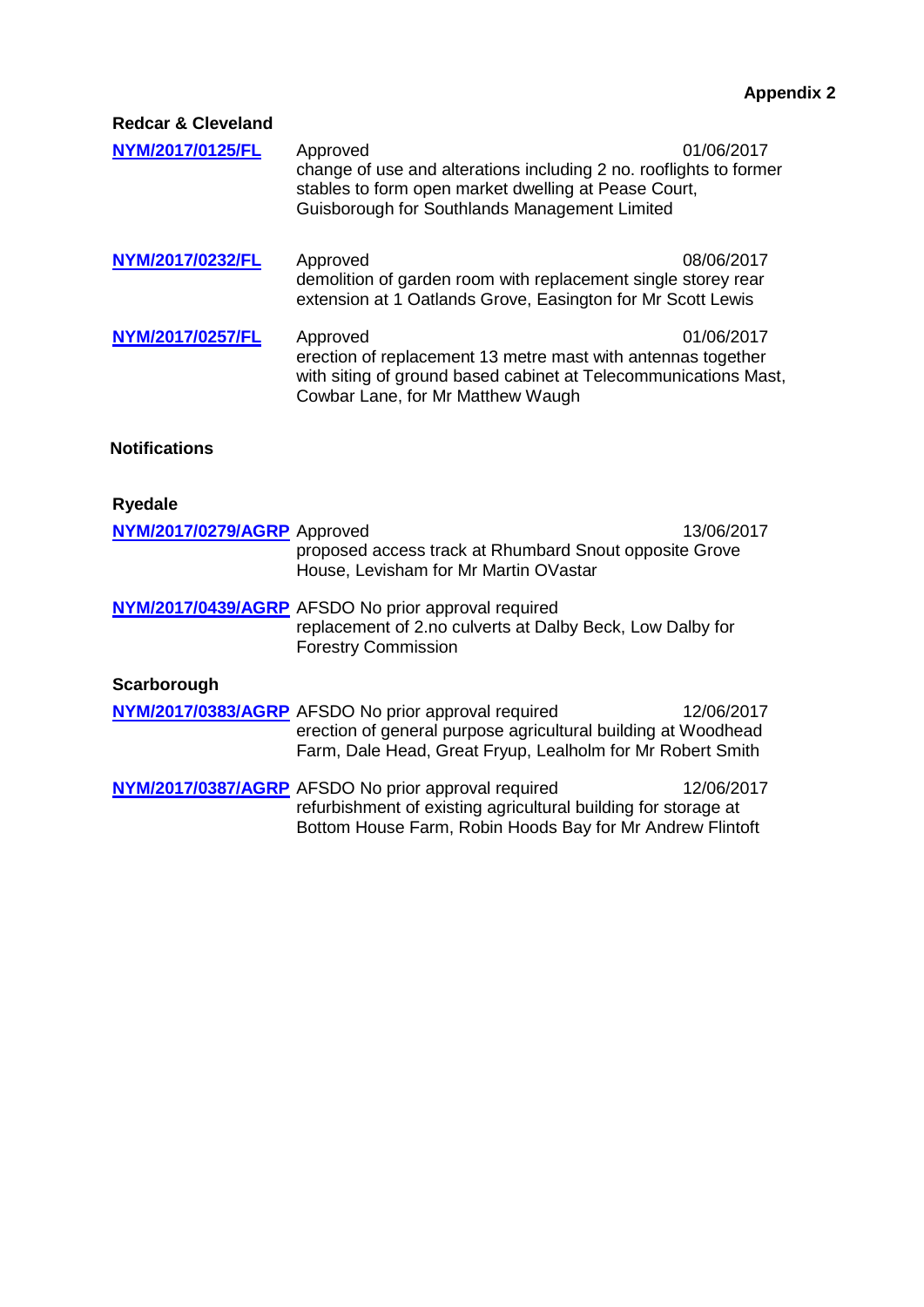| <b>Redcar &amp; Cleveland</b>                              |                                                                                                                                                                                         |            |
|------------------------------------------------------------|-----------------------------------------------------------------------------------------------------------------------------------------------------------------------------------------|------------|
| NYM/2017/0125/FL                                           | Approved<br>change of use and alterations including 2 no. rooflights to former<br>stables to form open market dwelling at Pease Court,<br>Guisborough for Southlands Management Limited | 01/06/2017 |
| NYM/2017/0232/FL                                           | Approved<br>demolition of garden room with replacement single storey rear<br>extension at 1 Oatlands Grove, Easington for Mr Scott Lewis                                                | 08/06/2017 |
| NYM/2017/0257/FL                                           | Approved<br>erection of replacement 13 metre mast with antennas together<br>with siting of ground based cabinet at Telecommunications Mast,<br>Cowbar Lane, for Mr Matthew Waugh        | 01/06/2017 |
| <b>Notifications</b>                                       |                                                                                                                                                                                         |            |
| <b>Ryedale</b>                                             |                                                                                                                                                                                         |            |
| NYM/2017/0279/AGRP Approved                                | proposed access track at Rhumbard Snout opposite Grove<br>House, Levisham for Mr Martin OVastar                                                                                         | 13/06/2017 |
|                                                            | NYM/2017/0439/AGRP AFSDO No prior approval required<br>replacement of 2.no culverts at Dalby Beck, Low Dalby for<br><b>Forestry Commission</b>                                          |            |
| Scarborough                                                |                                                                                                                                                                                         |            |
|                                                            | NYM/2017/0383/AGRP AFSDO No prior approval required<br>erection of general purpose agricultural building at Woodhead<br>Farm, Dale Head, Great Fryup, Lealholm for Mr Robert Smith      | 12/06/2017 |
| <b>NYM/2017/0387/AGRP</b> AFSDO No prior approval required |                                                                                                                                                                                         |            |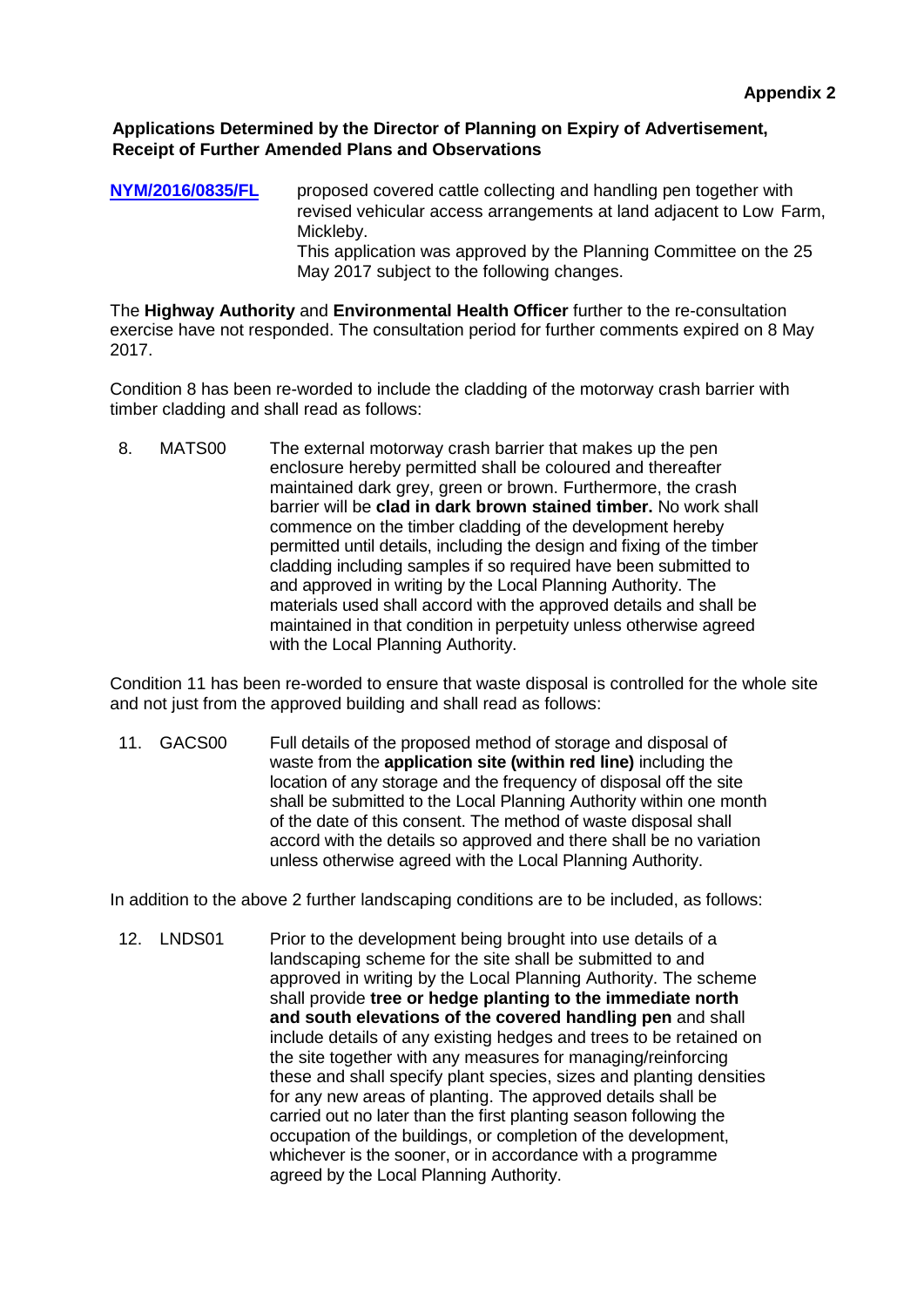### **Applications Determined by the Director of Planning on Expiry of Advertisement, Receipt of Further Amended Plans and Observations**

**[NYM/2016/0835/FL](http://planning.northyorkmoors.org.uk/northgate/documentexplorer/application/folderview.aspx?type=NLP11GL1_DC_PLANAPP&key=812871&iWgrnzsWW4I=aH8Pp24Bn4U=)** proposed covered cattle collecting and handling pen together with revised vehicular access arrangements at land adjacent to Low Farm, Mickleby. This application was approved by the Planning Committee on the 25 May 2017 subject to the following changes.

The **Highway Authority** and **Environmental Health Officer** further to the re-consultation exercise have not responded. The consultation period for further comments expired on 8 May 2017.

Condition 8 has been re-worded to include the cladding of the motorway crash barrier with timber cladding and shall read as follows:

8. MATS00 The external motorway crash barrier that makes up the pen enclosure hereby permitted shall be coloured and thereafter maintained dark grey, green or brown. Furthermore, the crash barrier will be **clad in dark brown stained timber.** No work shall commence on the timber cladding of the development hereby permitted until details, including the design and fixing of the timber cladding including samples if so required have been submitted to and approved in writing by the Local Planning Authority. The materials used shall accord with the approved details and shall be maintained in that condition in perpetuity unless otherwise agreed with the Local Planning Authority.

Condition 11 has been re-worded to ensure that waste disposal is controlled for the whole site and not just from the approved building and shall read as follows:

11. GACS00 Full details of the proposed method of storage and disposal of waste from the **application site (within red line)** including the location of any storage and the frequency of disposal off the site shall be submitted to the Local Planning Authority within one month of the date of this consent. The method of waste disposal shall accord with the details so approved and there shall be no variation unless otherwise agreed with the Local Planning Authority.

In addition to the above 2 further landscaping conditions are to be included, as follows:

12. LNDS01 Prior to the development being brought into use details of a landscaping scheme for the site shall be submitted to and approved in writing by the Local Planning Authority. The scheme shall provide **tree or hedge planting to the immediate north and south elevations of the covered handling pen** and shall include details of any existing hedges and trees to be retained on the site together with any measures for managing/reinforcing these and shall specify plant species, sizes and planting densities for any new areas of planting. The approved details shall be carried out no later than the first planting season following the occupation of the buildings, or completion of the development, whichever is the sooner, or in accordance with a programme agreed by the Local Planning Authority.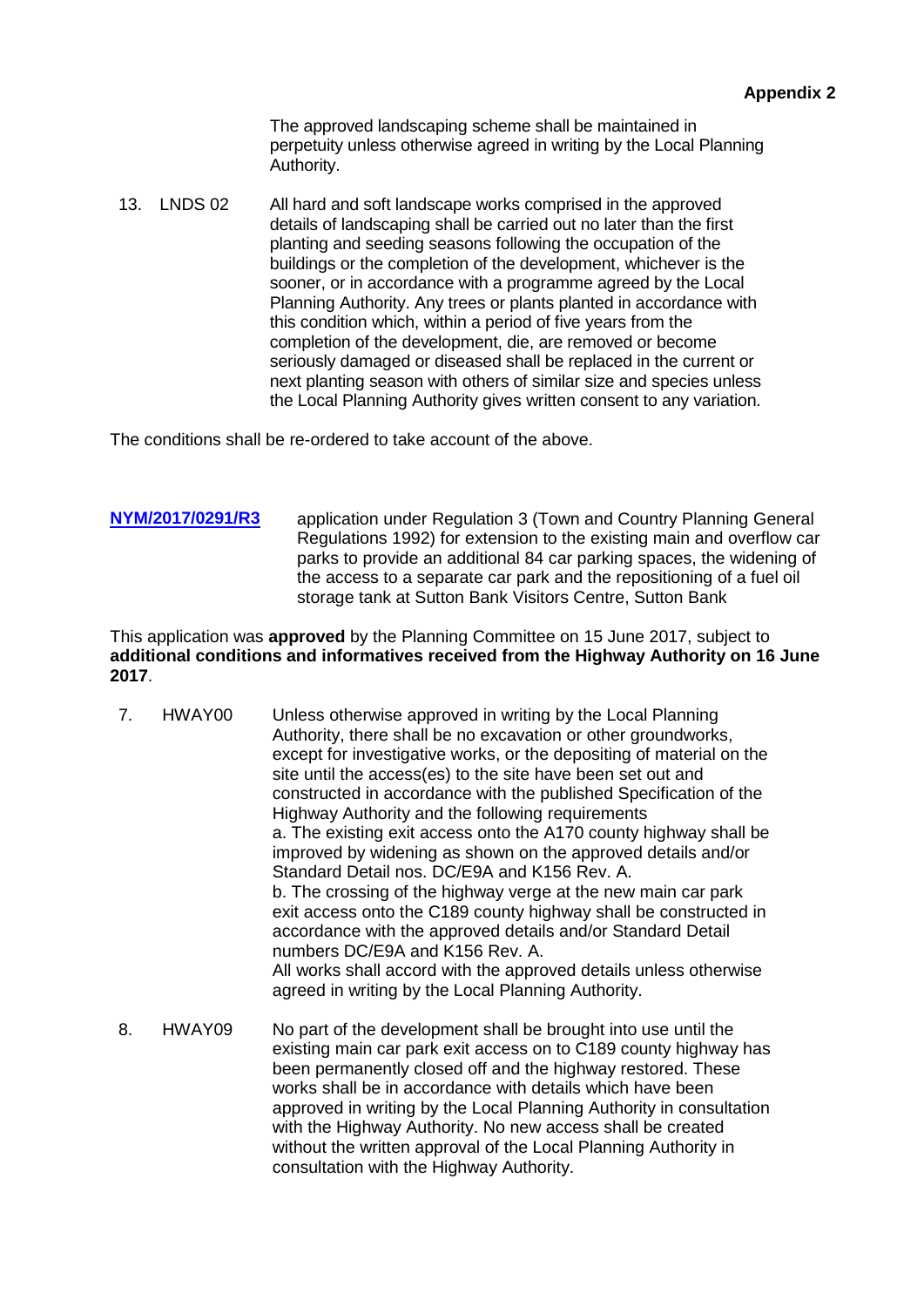The approved landscaping scheme shall be maintained in perpetuity unless otherwise agreed in writing by the Local Planning Authority.

13. LNDS 02 All hard and soft landscape works comprised in the approved details of landscaping shall be carried out no later than the first planting and seeding seasons following the occupation of the buildings or the completion of the development, whichever is the sooner, or in accordance with a programme agreed by the Local Planning Authority. Any trees or plants planted in accordance with this condition which, within a period of five years from the completion of the development, die, are removed or become seriously damaged or diseased shall be replaced in the current or next planting season with others of similar size and species unless the Local Planning Authority gives written consent to any variation.

The conditions shall be re-ordered to take account of the above.

**[NYM/2017/0291/R3](http://planning.northyorkmoors.org.uk/northgate/documentexplorer/application/folderview.aspx?type=NLP11GL1_DC_PLANAPP&key=813213&iWgrnzsWW4I=aH8Pp24Bn4U=)** application under Regulation 3 (Town and Country Planning General Regulations 1992) for extension to the existing main and overflow car parks to provide an additional 84 car parking spaces, the widening of the access to a separate car park and the repositioning of a fuel oil storage tank at Sutton Bank Visitors Centre, Sutton Bank

This application was **approved** by the Planning Committee on 15 June 2017, subject to **additional conditions and informatives received from the Highway Authority on 16 June 2017**.

| 7 <sub>1</sub> | HWAY00 | Unless otherwise approved in writing by the Local Planning<br>Authority, there shall be no excavation or other groundworks,<br>except for investigative works, or the depositing of material on the<br>site until the access(es) to the site have been set out and<br>constructed in accordance with the published Specification of the<br>Highway Authority and the following requirements<br>a. The existing exit access onto the A170 county highway shall be<br>improved by widening as shown on the approved details and/or<br>Standard Detail nos. DC/E9A and K156 Rev. A.<br>b. The crossing of the highway verge at the new main car park<br>exit access onto the C189 county highway shall be constructed in<br>accordance with the approved details and/or Standard Detail<br>numbers DC/E9A and K156 Rev. A.<br>All works shall accord with the approved details unless otherwise<br>agreed in writing by the Local Planning Authority. |
|----------------|--------|----------------------------------------------------------------------------------------------------------------------------------------------------------------------------------------------------------------------------------------------------------------------------------------------------------------------------------------------------------------------------------------------------------------------------------------------------------------------------------------------------------------------------------------------------------------------------------------------------------------------------------------------------------------------------------------------------------------------------------------------------------------------------------------------------------------------------------------------------------------------------------------------------------------------------------------------------|
| я              | HWAYNQ | No part of the development shall be brought into use until the                                                                                                                                                                                                                                                                                                                                                                                                                                                                                                                                                                                                                                                                                                                                                                                                                                                                                     |

8. HWAY09 No part of the development shall be brought into use until the existing main car park exit access on to C189 county highway has been permanently closed off and the highway restored. These works shall be in accordance with details which have been approved in writing by the Local Planning Authority in consultation with the Highway Authority. No new access shall be created without the written approval of the Local Planning Authority in consultation with the Highway Authority.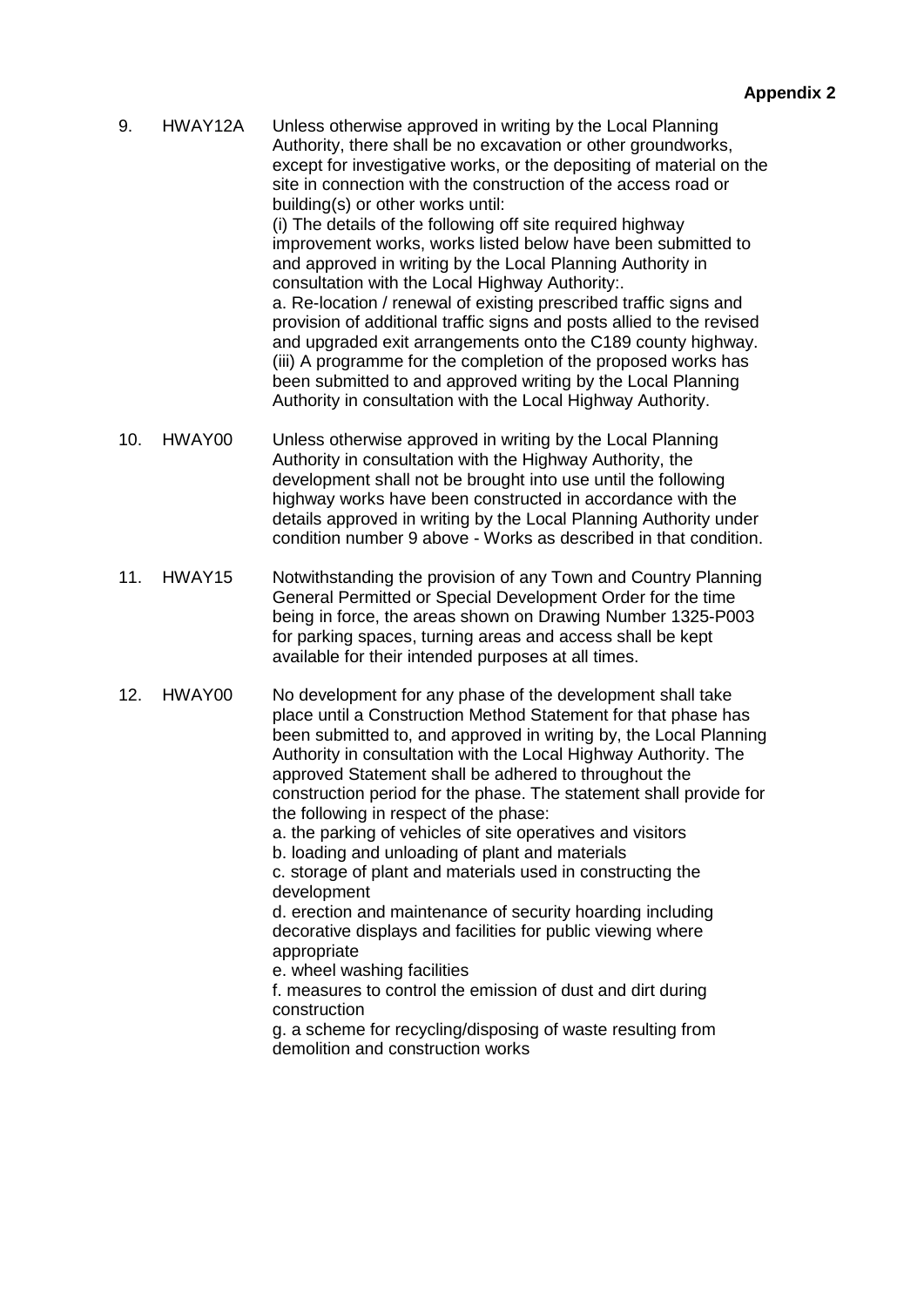- 9. HWAY12A Unless otherwise approved in writing by the Local Planning Authority, there shall be no excavation or other groundworks, except for investigative works, or the depositing of material on the site in connection with the construction of the access road or building(s) or other works until: (i) The details of the following off site required highway improvement works, works listed below have been submitted to and approved in writing by the Local Planning Authority in consultation with the Local Highway Authority:. a. Re-location / renewal of existing prescribed traffic signs and provision of additional traffic signs and posts allied to the revised and upgraded exit arrangements onto the C189 county highway. (iii) A programme for the completion of the proposed works has been submitted to and approved writing by the Local Planning Authority in consultation with the Local Highway Authority.
- 10. HWAY00 Unless otherwise approved in writing by the Local Planning Authority in consultation with the Highway Authority, the development shall not be brought into use until the following highway works have been constructed in accordance with the details approved in writing by the Local Planning Authority under condition number 9 above - Works as described in that condition.
- 11. HWAY15 Notwithstanding the provision of any Town and Country Planning General Permitted or Special Development Order for the time being in force, the areas shown on Drawing Number 1325-P003 for parking spaces, turning areas and access shall be kept available for their intended purposes at all times.
- 12. HWAY00 No development for any phase of the development shall take place until a Construction Method Statement for that phase has been submitted to, and approved in writing by, the Local Planning Authority in consultation with the Local Highway Authority. The approved Statement shall be adhered to throughout the construction period for the phase. The statement shall provide for the following in respect of the phase:

a. the parking of vehicles of site operatives and visitors

b. loading and unloading of plant and materials

c. storage of plant and materials used in constructing the development

d. erection and maintenance of security hoarding including decorative displays and facilities for public viewing where appropriate

e. wheel washing facilities

f. measures to control the emission of dust and dirt during construction

g. a scheme for recycling/disposing of waste resulting from demolition and construction works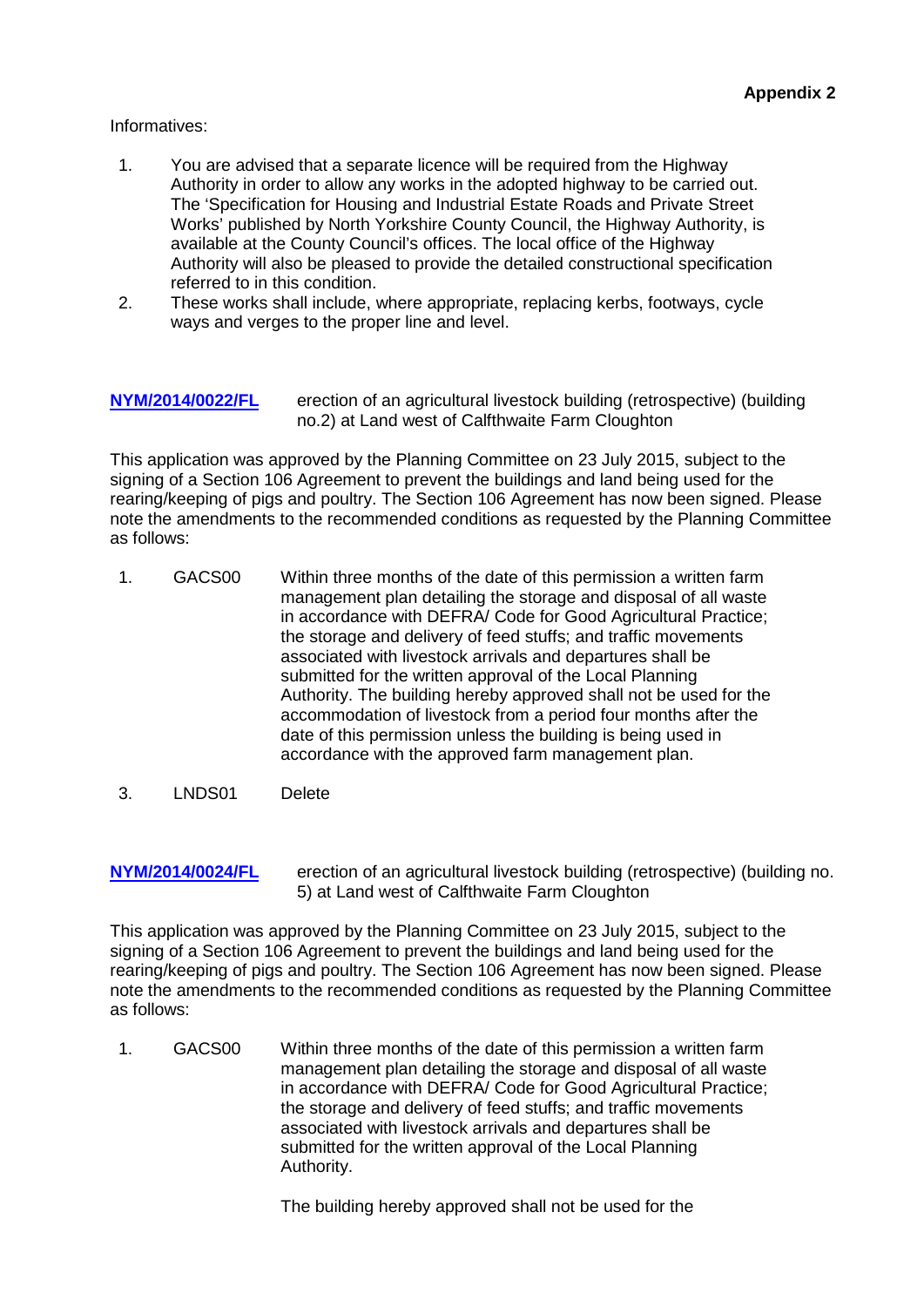#### Informatives:

- 1. You are advised that a separate licence will be required from the Highway Authority in order to allow any works in the adopted highway to be carried out. The 'Specification for Housing and Industrial Estate Roads and Private Street Works' published by North Yorkshire County Council, the Highway Authority, is available at the County Council's offices. The local office of the Highway Authority will also be pleased to provide the detailed constructional specification referred to in this condition.
- 2. These works shall include, where appropriate, replacing kerbs, footways, cycle ways and verges to the proper line and level.

**[NYM/2014/0022/FL](http://planning.northyorkmoors.org.uk/northgate/documentexplorer/application/folderview.aspx?type=NLP11GL1_DC_PLANAPP&key=810385&iWgrnzsWW4I=aH8Pp24Bn4U=)** erection of an agricultural livestock building (retrospective) (building no.2) at Land west of Calfthwaite Farm Cloughton

This application was approved by the Planning Committee on 23 July 2015, subject to the signing of a Section 106 Agreement to prevent the buildings and land being used for the rearing/keeping of pigs and poultry. The Section 106 Agreement has now been signed. Please note the amendments to the recommended conditions as requested by the Planning Committee as follows:

- 1. GACS00 Within three months of the date of this permission a written farm management plan detailing the storage and disposal of all waste in accordance with DEFRA/ Code for Good Agricultural Practice; the storage and delivery of feed stuffs; and traffic movements associated with livestock arrivals and departures shall be submitted for the written approval of the Local Planning Authority. The building hereby approved shall not be used for the accommodation of livestock from a period four months after the date of this permission unless the building is being used in accordance with the approved farm management plan.
- 3. LNDS01 Delete
- **[NYM/2014/0024/FL](http://planning.northyorkmoors.org.uk/northgate/documentexplorer/application/folderview.aspx?type=NLP11GL1_DC_PLANAPP&key=810387&iWgrnzsWW4I=aH8Pp24Bn4U=)** erection of an agricultural livestock building (retrospective) (building no. 5) at Land west of Calfthwaite Farm Cloughton

This application was approved by the Planning Committee on 23 July 2015, subject to the signing of a Section 106 Agreement to prevent the buildings and land being used for the rearing/keeping of pigs and poultry. The Section 106 Agreement has now been signed. Please note the amendments to the recommended conditions as requested by the Planning Committee as follows:

1. GACS00 Within three months of the date of this permission a written farm management plan detailing the storage and disposal of all waste in accordance with DEFRA/ Code for Good Agricultural Practice; the storage and delivery of feed stuffs; and traffic movements associated with livestock arrivals and departures shall be submitted for the written approval of the Local Planning Authority.

The building hereby approved shall not be used for the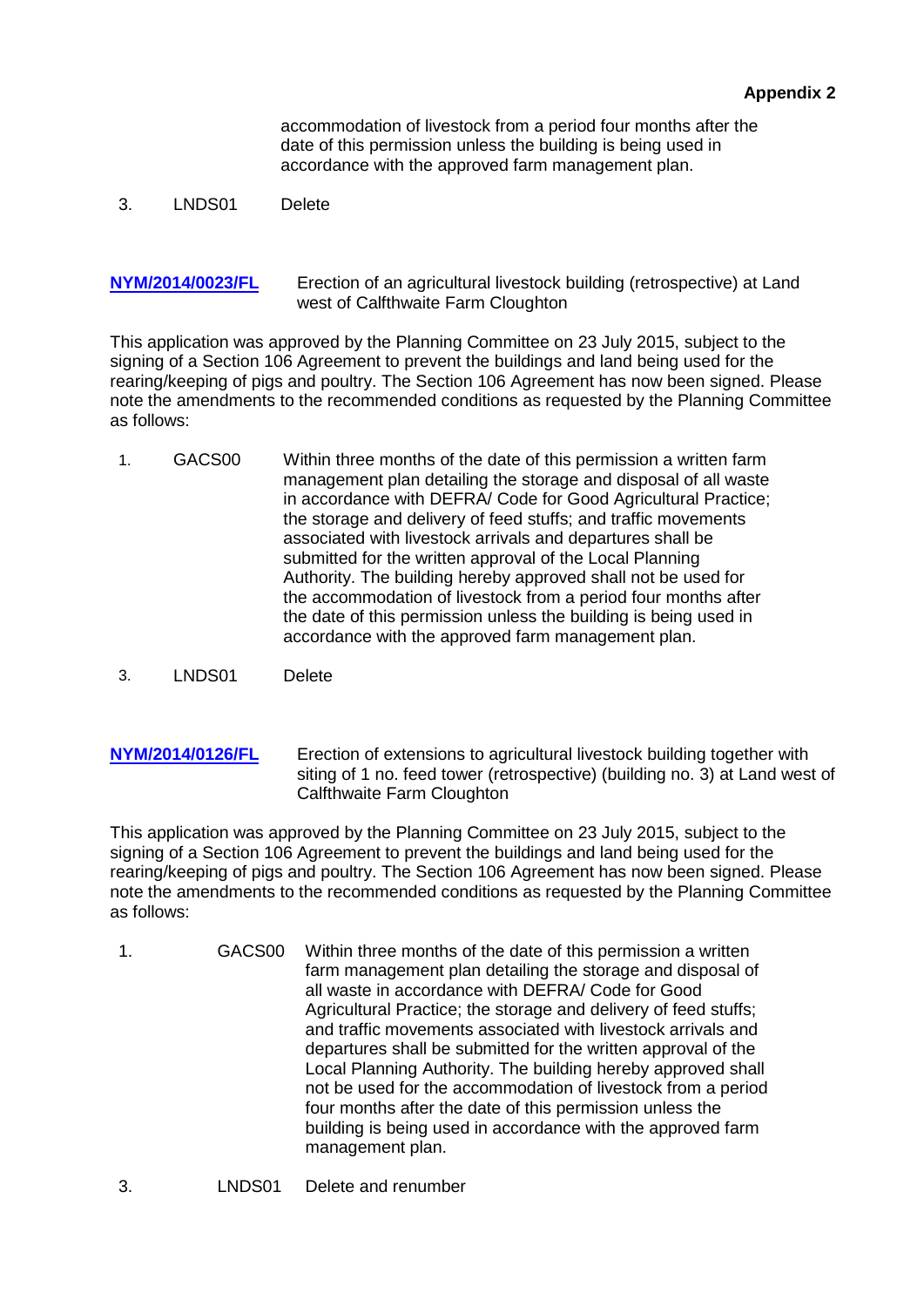accommodation of livestock from a period four months after the date of this permission unless the building is being used in accordance with the approved farm management plan.

- 3. LNDS01 Delete
- **[NYM/2014/0023/FL](http://planning.northyorkmoors.org.uk/northgate/documentexplorer/application/folderview.aspx?type=NLP11GL1_DC_PLANAPP&key=810386&iWgrnzsWW4I=aH8Pp24Bn4U=)** Erection of an agricultural livestock building (retrospective) at Land west of Calfthwaite Farm Cloughton

This application was approved by the Planning Committee on 23 July 2015, subject to the signing of a Section 106 Agreement to prevent the buildings and land being used for the rearing/keeping of pigs and poultry. The Section 106 Agreement has now been signed. Please note the amendments to the recommended conditions as requested by the Planning Committee as follows:

- 1. GACS00 Within three months of the date of this permission a written farm management plan detailing the storage and disposal of all waste in accordance with DEFRA/ Code for Good Agricultural Practice; the storage and delivery of feed stuffs; and traffic movements associated with livestock arrivals and departures shall be submitted for the written approval of the Local Planning Authority. The building hereby approved shall not be used for the accommodation of livestock from a period four months after the date of this permission unless the building is being used in accordance with the approved farm management plan.
- 3. LNDS01 Delete
- **[NYM/2014/0126/FL](http://planning.northyorkmoors.org.uk/northgate/documentexplorer/application/folderview.aspx?type=NLP11GL1_DC_PLANAPP&key=810488&iWgrnzsWW4I=aH8Pp24Bn4U=)** Erection of extensions to agricultural livestock building together with siting of 1 no. feed tower (retrospective) (building no. 3) at Land west of Calfthwaite Farm Cloughton

This application was approved by the Planning Committee on 23 July 2015, subject to the signing of a Section 106 Agreement to prevent the buildings and land being used for the rearing/keeping of pigs and poultry. The Section 106 Agreement has now been signed. Please note the amendments to the recommended conditions as requested by the Planning Committee as follows:

- 1. GACS00 Within three months of the date of this permission a written farm management plan detailing the storage and disposal of all waste in accordance with DEFRA/ Code for Good Agricultural Practice; the storage and delivery of feed stuffs; and traffic movements associated with livestock arrivals and departures shall be submitted for the written approval of the Local Planning Authority. The building hereby approved shall not be used for the accommodation of livestock from a period four months after the date of this permission unless the building is being used in accordance with the approved farm management plan.
- 3. LNDS01 Delete and renumber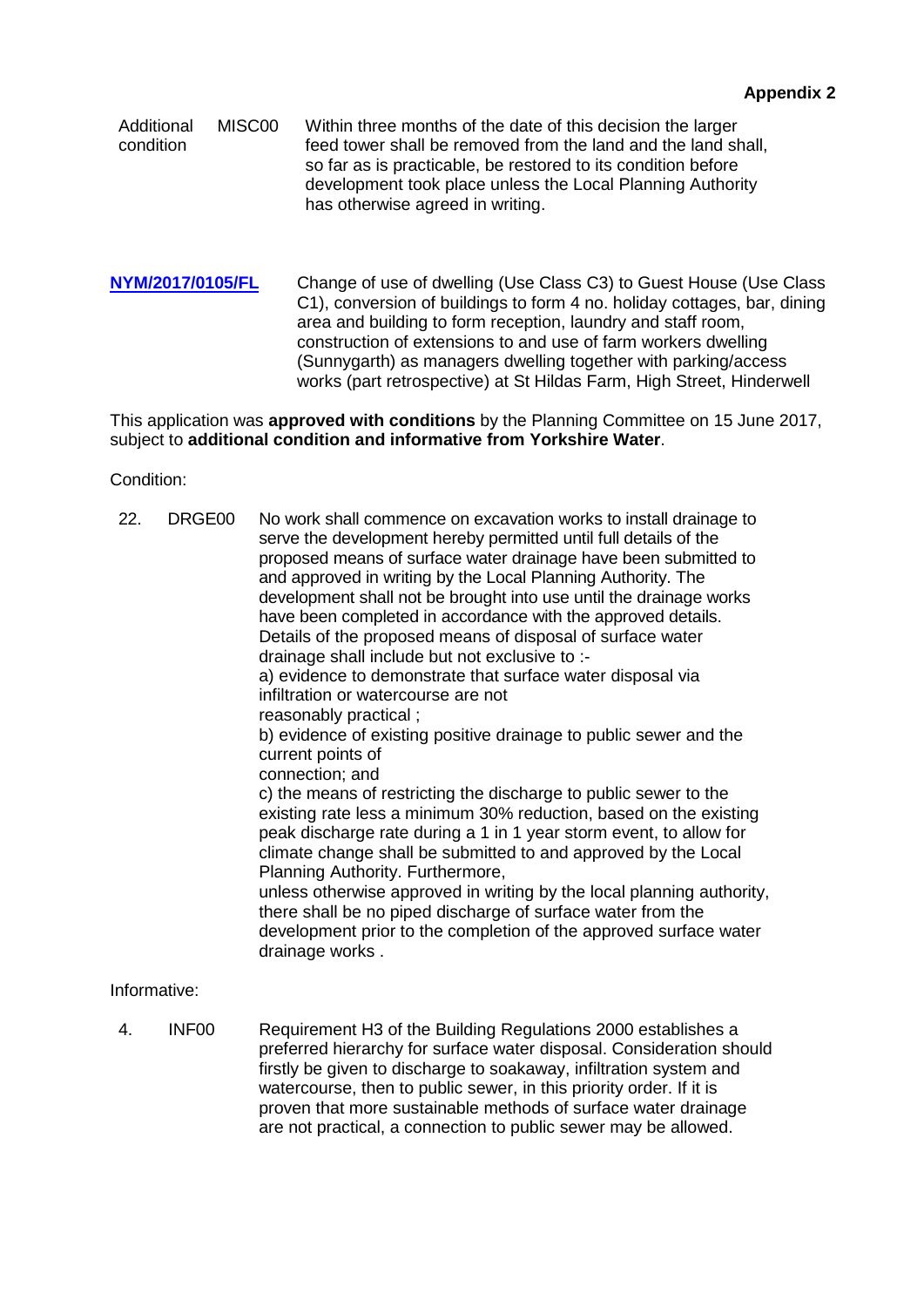- Additional condition MISC00 Within three months of the date of this decision the larger feed tower shall be removed from the land and the land shall, so far as is practicable, be restored to its condition before development took place unless the Local Planning Authority has otherwise agreed in writing.
- **[NYM/2017/0105/FL](http://planning.northyorkmoors.org.uk/northgate/documentexplorer/application/folderview.aspx?type=NLP11GL1_DC_PLANAPP&key=813033&iWgrnzsWW4I=aH8Pp24Bn4U=)** Change of use of dwelling (Use Class C3) to Guest House (Use Class C1), conversion of buildings to form 4 no. holiday cottages, bar, dining area and building to form reception, laundry and staff room, construction of extensions to and use of farm workers dwelling (Sunnygarth) as managers dwelling together with parking/access works (part retrospective) at St Hildas Farm, High Street, Hinderwell

This application was **approved with conditions** by the Planning Committee on 15 June 2017, subject to **additional condition and informative from Yorkshire Water**.

Condition:

- 22. DRGE00 No work shall commence on excavation works to install drainage to serve the development hereby permitted until full details of the proposed means of surface water drainage have been submitted to and approved in writing by the Local Planning Authority. The development shall not be brought into use until the drainage works have been completed in accordance with the approved details. Details of the proposed means of disposal of surface water drainage shall include but not exclusive to : a) evidence to demonstrate that surface water disposal via infiltration or watercourse are not reasonably practical ; b) evidence of existing positive drainage to public sewer and the current points of connection; and c) the means of restricting the discharge to public sewer to the existing rate less a minimum 30% reduction, based on the existing peak discharge rate during a 1 in 1 year storm event, to allow for climate change shall be submitted to and approved by the Local Planning Authority. Furthermore, unless otherwise approved in writing by the local planning authority, there shall be no piped discharge of surface water from the development prior to the completion of the approved surface water drainage works .
- Informative:
- 4. INF00 Requirement H3 of the Building Regulations 2000 establishes a preferred hierarchy for surface water disposal. Consideration should firstly be given to discharge to soakaway, infiltration system and watercourse, then to public sewer, in this priority order. If it is proven that more sustainable methods of surface water drainage are not practical, a connection to public sewer may be allowed.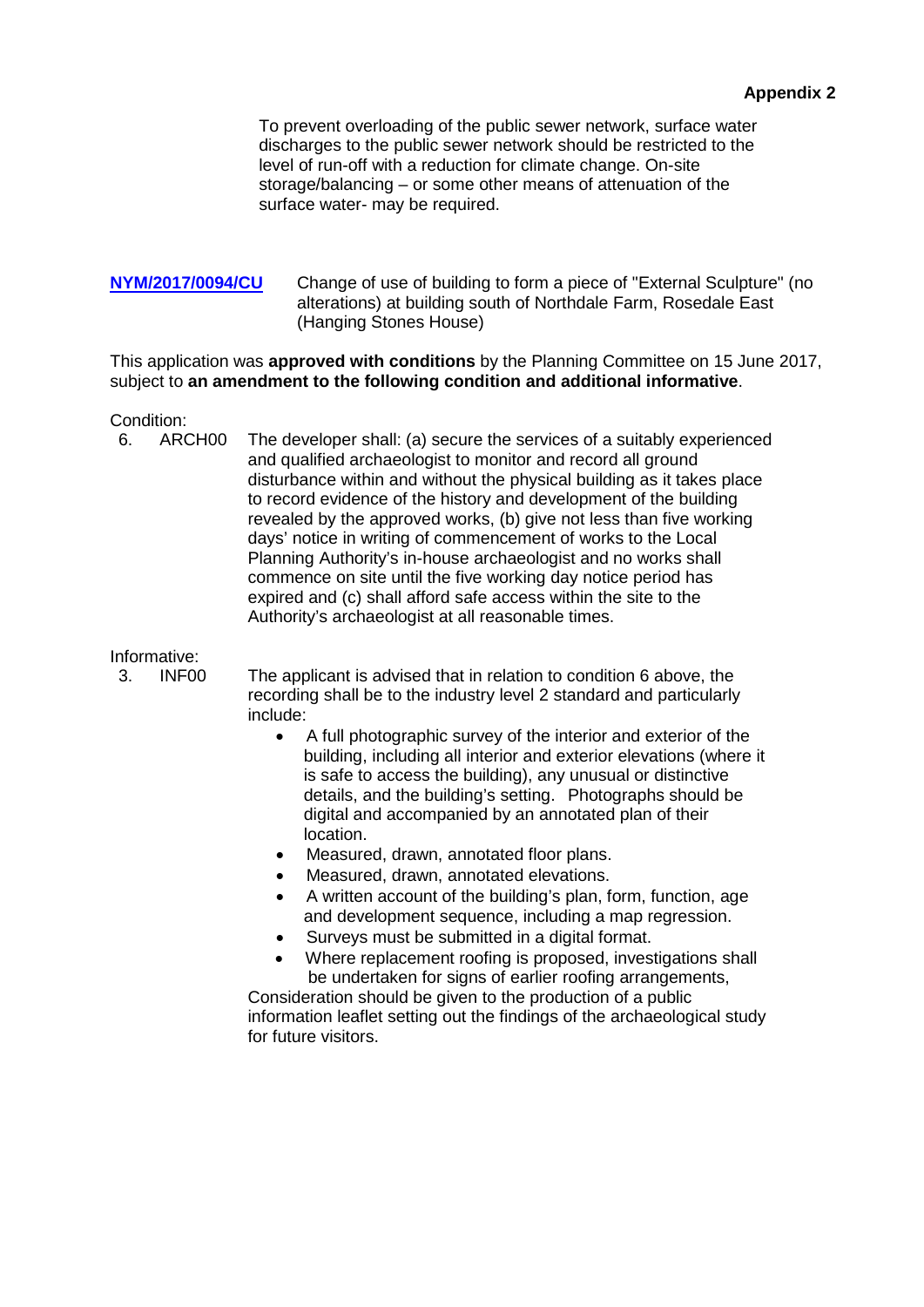To prevent overloading of the public sewer network, surface water discharges to the public sewer network should be restricted to the level of run-off with a reduction for climate change. On-site storage/balancing – or some other means of attenuation of the surface water- may be required.

**[NYM/2017/0094/CU](http://planning.northyorkmoors.org.uk/northgate/documentexplorer/application/folderview.aspx?type=NLP11GL1_DC_PLANAPP&key=813022&iWgrnzsWW4I=aH8Pp24Bn4U=)** Change of use of building to form a piece of "External Sculpture" (no alterations) at building south of Northdale Farm, Rosedale East (Hanging Stones House)

This application was **approved with conditions** by the Planning Committee on 15 June 2017, subject to **an amendment to the following condition and additional informative**.

Condition:<br>6. ARCH00 6. ARCH00 The developer shall: (a) secure the services of a suitably experienced and qualified archaeologist to monitor and record all ground disturbance within and without the physical building as it takes place to record evidence of the history and development of the building revealed by the approved works, (b) give not less than five working days' notice in writing of commencement of works to the Local Planning Authority's in-house archaeologist and no works shall commence on site until the five working day notice period has expired and (c) shall afford safe access within the site to the Authority's archaeologist at all reasonable times.

#### Informative:

- 3. INF00 The applicant is advised that in relation to condition 6 above, the recording shall be to the industry level 2 standard and particularly include:
	- A full photographic survey of the interior and exterior of the building, including all interior and exterior elevations (where it is safe to access the building), any unusual or distinctive details, and the building's setting. Photographs should be digital and accompanied by an annotated plan of their location.
	- Measured, drawn, annotated floor plans.
	- Measured, drawn, annotated elevations.
	- A written account of the building's plan, form, function, age and development sequence, including a map regression.
	- Surveys must be submitted in a digital format.
	- Where replacement roofing is proposed, investigations shall be undertaken for signs of earlier roofing arrangements,

Consideration should be given to the production of a public information leaflet setting out the findings of the archaeological study for future visitors.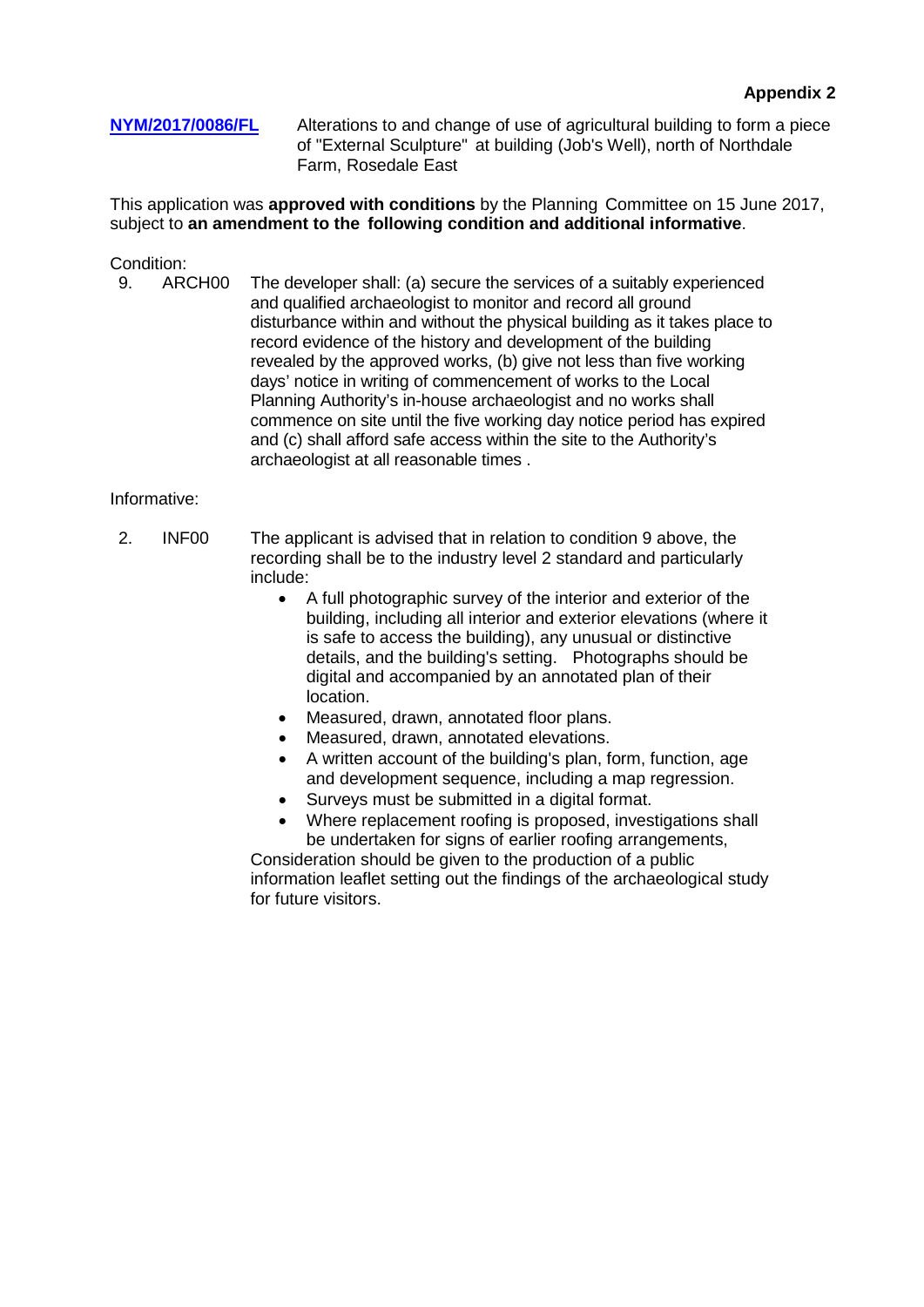## **[NYM/2017/0086/FL](http://planning.northyorkmoors.org.uk/northgate/documentexplorer/application/folderview.aspx?type=NLP11GL1_DC_PLANAPP&key=813014&iWgrnzsWW4I=aH8Pp24Bn4U=)** Alterations to and change of use of agricultural building to form a piece of "External Sculpture" at building (Job's Well), north of Northdale Farm, Rosedale East

This application was **approved with conditions** by the Planning Committee on 15 June 2017, subject to **an amendment to the following condition and additional informative**.

Condition:<br>9. ARCH00 The developer shall: (a) secure the services of a suitably experienced and qualified archaeologist to monitor and record all ground disturbance within and without the physical building as it takes place to record evidence of the history and development of the building revealed by the approved works, (b) give not less than five working days' notice in writing of commencement of works to the Local Planning Authority's in-house archaeologist and no works shall commence on site until the five working day notice period has expired and (c) shall afford safe access within the site to the Authority's archaeologist at all reasonable times .

### Informative:

- 2. INF00 The applicant is advised that in relation to condition 9 above, the recording shall be to the industry level 2 standard and particularly include:
	- A full photographic survey of the interior and exterior of the building, including all interior and exterior elevations (where it is safe to access the building), any unusual or distinctive details, and the building's setting. Photographs should be digital and accompanied by an annotated plan of their location.
	- Measured, drawn, annotated floor plans.
	- Measured, drawn, annotated elevations.
	- A written account of the building's plan, form, function, age and development sequence, including a map regression.
	- Surveys must be submitted in a digital format.
	- Where replacement roofing is proposed, investigations shall be undertaken for signs of earlier roofing arrangements,

Consideration should be given to the production of a public information leaflet setting out the findings of the archaeological study for future visitors.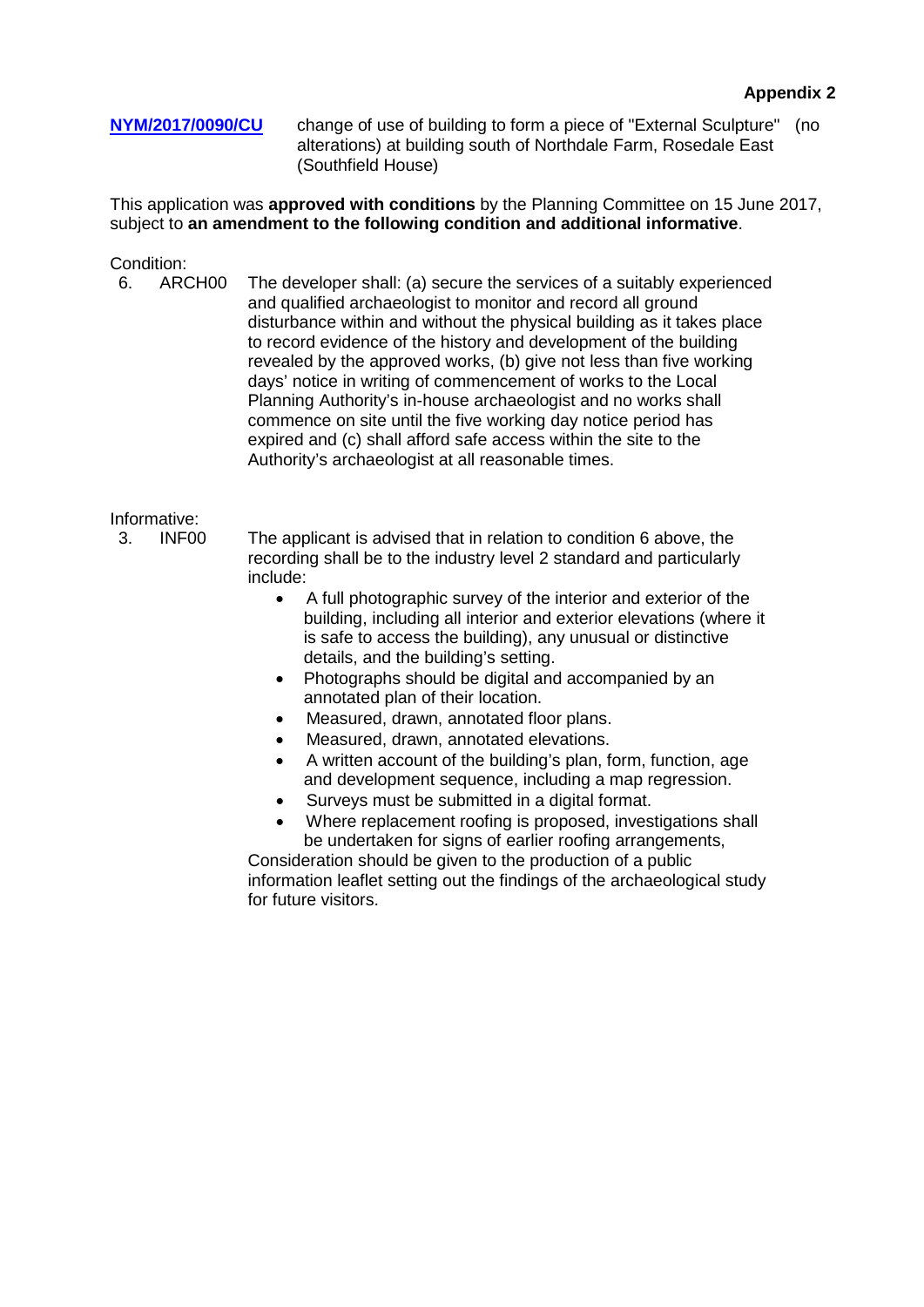**[NYM/2017/0090/CU](http://planning.northyorkmoors.org.uk/northgate/documentexplorer/application/folderview.aspx?type=NLP11GL1_DC_PLANAPP&key=813018&iWgrnzsWW4I=aH8Pp24Bn4U=)** change of use of building to form a piece of "External Sculpture" (no alterations) at building south of Northdale Farm, Rosedale East (Southfield House)

This application was **approved with conditions** by the Planning Committee on 15 June 2017, subject to **an amendment to the following condition and additional informative**.

Condition:<br>6. ARCH00 6. ARCH00 The developer shall: (a) secure the services of a suitably experienced and qualified archaeologist to monitor and record all ground disturbance within and without the physical building as it takes place to record evidence of the history and development of the building revealed by the approved works, (b) give not less than five working days' notice in writing of commencement of works to the Local Planning Authority's in-house archaeologist and no works shall commence on site until the five working day notice period has expired and (c) shall afford safe access within the site to the Authority's archaeologist at all reasonable times.

# Informative:<br>3. INF00

3. INF00 The applicant is advised that in relation to condition 6 above, the recording shall be to the industry level 2 standard and particularly include:

- A full photographic survey of the interior and exterior of the building, including all interior and exterior elevations (where it is safe to access the building), any unusual or distinctive details, and the building's setting.
- Photographs should be digital and accompanied by an annotated plan of their location.
- Measured, drawn, annotated floor plans.
- Measured, drawn, annotated elevations.
- A written account of the building's plan, form, function, age and development sequence, including a map regression.
- Surveys must be submitted in a digital format.
- Where replacement roofing is proposed, investigations shall be undertaken for signs of earlier roofing arrangements,

Consideration should be given to the production of a public information leaflet setting out the findings of the archaeological study for future visitors.